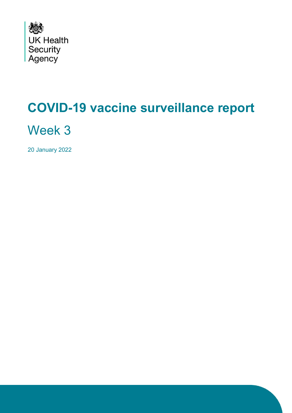

# **COVID-19 vaccine surveillance report**

Week 3

20 January 2022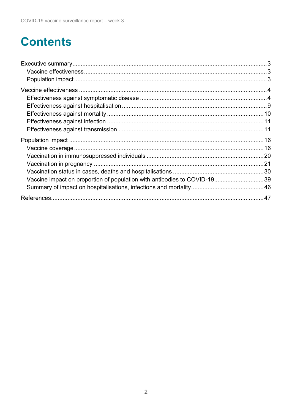# **Contents**

| Vaccine impact on proportion of population with antibodies to COVID-1939 |  |
|--------------------------------------------------------------------------|--|
|                                                                          |  |
|                                                                          |  |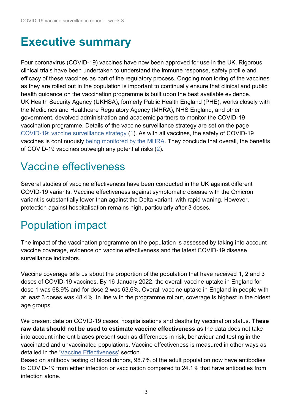# <span id="page-2-0"></span>**Executive summary**

Four coronavirus (COVID-19) vaccines have now been approved for use in the UK. Rigorous clinical trials have been undertaken to understand the immune response, safety profile and efficacy of these vaccines as part of the regulatory process. Ongoing monitoring of the vaccines as they are rolled out in the population is important to continually ensure that clinical and public health guidance on the vaccination programme is built upon the best available evidence. UK Health Security Agency (UKHSA), formerly Public Health England (PHE), works closely with the Medicines and Healthcare Regulatory Agency (MHRA), NHS England, and other government, devolved administration and academic partners to monitor the COVID-19 vaccination programme. Details of the vaccine surveillance strategy are set on the page [COVID-19: vaccine surveillance strategy](https://www.gov.uk/government/publications/covid-19-vaccine-surveillance-strategy) [\(1\)](#page-46-1). As with all vaccines, the safety of COVID-19 vaccines is continuously [being monitored by the MHRA.](https://www.gov.uk/government/publications/coronavirus-covid-19-vaccine-adverse-reactions/coronavirus-vaccine-summary-of-yellow-card-reporting) They conclude that overall, the benefits of COVID-19 vaccines outweigh any potential risks [\(2\)](#page-46-2).

## <span id="page-2-1"></span>Vaccine effectiveness

Several studies of vaccine effectiveness have been conducted in the UK against different COVID-19 variants. Vaccine effectiveness against symptomatic disease with the Omicron variant is substantially lower than against the Delta variant, with rapid waning. However, protection against hospitalisation remains high, particularly after 3 doses.

# <span id="page-2-2"></span>Population impact

The impact of the vaccination programme on the population is assessed by taking into account vaccine coverage, evidence on vaccine effectiveness and the latest COVID-19 disease surveillance indicators.

Vaccine coverage tells us about the proportion of the population that have received 1, 2 and 3 doses of COVID-19 vaccines. By 16 January 2022, the overall vaccine uptake in England for dose 1 was 68.9% and for dose 2 was 63.6%. Overall vaccine uptake in England in people with at least 3 doses was 48.4%. In line with the programme rollout, coverage is highest in the oldest age groups.

We present data on COVID-19 cases, hospitalisations and deaths by vaccination status. **These raw data should not be used to estimate vaccine effectiveness** as the data does not take into account inherent biases present such as differences in risk, behaviour and testing in the vaccinated and unvaccinated populations. Vaccine effectiveness is measured in other ways as detailed in the ['Vaccine Effectiveness'](#page-3-0) section.

Based on antibody testing of blood donors, 98.7% of the adult population now have antibodies to COVID-19 from either infection or vaccination compared to 24.1% that have antibodies from infection alone.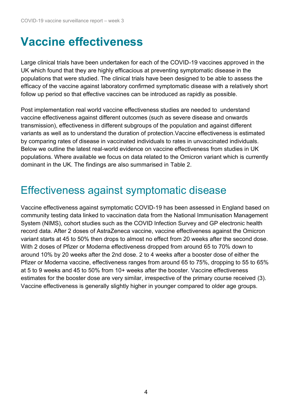# <span id="page-3-0"></span>**Vaccine effectiveness**

Large clinical trials have been undertaken for each of the COVID-19 vaccines approved in the UK which found that they are highly efficacious at preventing symptomatic disease in the populations that were studied. The clinical trials have been designed to be able to assess the efficacy of the vaccine against laboratory confirmed symptomatic disease with a relatively short follow up period so that effective vaccines can be introduced as rapidly as possible.

Post implementation real world vaccine effectiveness studies are needed to understand vaccine effectiveness against different outcomes (such as severe disease and onwards transmission), effectiveness in different subgroups of the population and against different variants as well as to understand the duration of protection.Vaccine effectiveness is estimated by comparing rates of disease in vaccinated individuals to rates in unvaccinated individuals. Below we outline the latest real-world evidence on vaccine effectiveness from studies in UK populations. Where available we focus on data related to the Omicron variant which is currently dominant in the UK. The findings are also summarised in Table 2.

## <span id="page-3-1"></span>Effectiveness against symptomatic disease

Vaccine effectiveness against symptomatic COVID-19 has been assessed in England based on community testing data linked to vaccination data from the National Immunisation Management System (NIMS), cohort studies such as the COVID Infection Survey and GP electronic health record data. After 2 doses of AstraZeneca vaccine, vaccine effectiveness against the Omicron variant starts at 45 to 50% then drops to almost no effect from 20 weeks after the second dose. With 2 doses of Pfizer or Moderna effectiveness dropped from around 65 to 70% down to around 10% by 20 weeks after the 2nd dose. 2 to 4 weeks after a booster dose of either the Pfizer or Moderna vaccine, effectiveness ranges from around 65 to 75%, dropping to 55 to 65% at 5 to 9 weeks and 45 to 50% from 10+ weeks after the booster. Vaccine effectiveness estimates for the booster dose are very similar, irrespective of the primary course received (3). Vaccine effectiveness is generally slightly higher in younger compared to older age groups.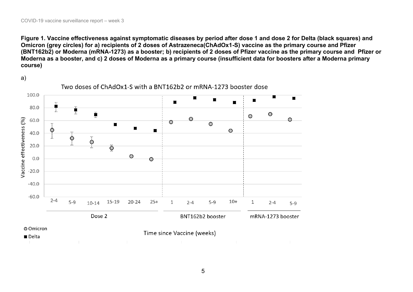**Figure 1. Vaccine effectiveness against symptomatic diseases by period after dose 1 and dose 2 for Delta (black squares) and Omicron (grey circles) for a) recipients of 2 doses of Astrazeneca(ChAdOx1-S) vaccine as the primary course and Pfizer (BNT162b2) or Moderna (mRNA-1273) as a booster; b) recipients of 2 doses of Pfizer vaccine as the primary course and Pfizer or Moderna as a booster, and c) 2 doses of Moderna as a primary course (insufficient data for boosters after a Moderna primary course)**

a)

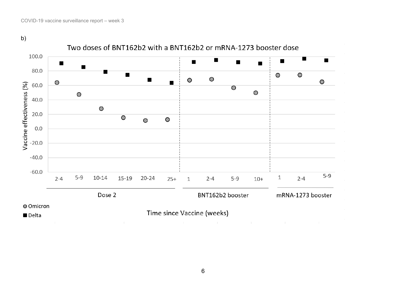b)

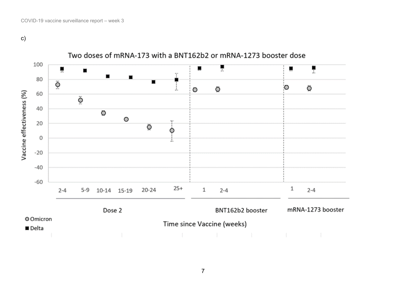c)

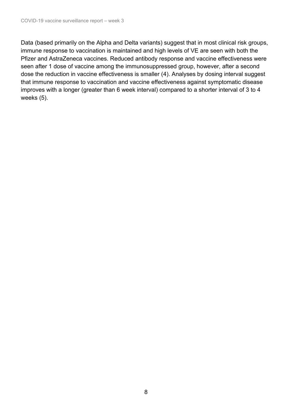Data (based primarily on the Alpha and Delta variants) suggest that in most clinical risk groups, immune response to vaccination is maintained and high levels of VE are seen with both the Pfizer and AstraZeneca vaccines. Reduced antibody response and vaccine effectiveness were seen after 1 dose of vaccine among the immunosuppressed group, however, after a second dose the reduction in vaccine effectiveness is smaller (4). Analyses by dosing interval suggest that immune response to vaccination and vaccine effectiveness against symptomatic disease improves with a longer (greater than 6 week interval) compared to a shorter interval of 3 to 4 weeks (5).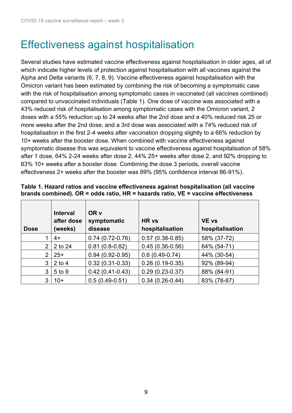### <span id="page-8-0"></span>Effectiveness against hospitalisation

Several studies have estimated vaccine effectiveness against hospitalisation in older ages, all of which indicate higher levels of protection against hospitalisation with all vaccines against the Alpha and Delta variants (6, 7, 8, 9). Vaccine effectiveness against hospitalisation with the Omicron variant has been estimated by combining the risk of becoming a symptomatic case with the risk of hospitalisation among symptomatic cases in vaccinated (all vaccines combined) compared to unvaccinated individuals (Table 1). One dose of vaccine was associated with a 43% reduced risk of hospitalisation among symptomatic cases with the Omicron variant, 2 doses with a 55% reduction up to 24 weeks after the 2nd dose and a 40% reduced risk 25 or more weeks after the 2nd dose, and a 3rd dose was associated with a 74% reduced risk of hospitalisation in the first 2-4 weeks after vaccination dropping slightly to a 66% reduction by 10+ weeks after the booster dose. When combined with vaccine effectiveness against symptomatic disease this was equivalent to vaccine effectiveness against hospitalisation of 58% after 1 dose, 64% 2-24 weeks after dose 2, 44% 25+ weeks after dose 2, and 92% dropping to 83% 10+ weeks after a booster dose. Combining the dose 3 periods, overall vaccine effectiveness 2+ weeks after the booster was 89% (95% confidence interval 86-91%).

| <b>Dose</b> | <b>Interval</b><br>after dose<br>(weeks) | OR v<br>symptomatic<br>disease | HR vs<br>hospitalisation | <b>VE vs</b><br>hospitalisation |
|-------------|------------------------------------------|--------------------------------|--------------------------|---------------------------------|
|             | 4+                                       | $0.74(0.72-0.76)$              | $0.57(0.38-0.85)$        | 58% (37-72)                     |
| 2           | 2 to 24                                  | $0.81(0.8-0.82)$               | $0.45(0.36-0.56)$        | 64% (54-71)                     |
| 2           | $25+$                                    | $0.94(0.92 - 0.95)$            | $0.6(0.49-0.74)$         | 44% (30-54)                     |
| 3           | $2$ to 4                                 | $0.32(0.31-0.33)$              | $0.26(0.19-0.35)$        | 92% (89-94)                     |
| 3           | 5 to 9                                   | $0.42(0.41 - 0.43)$            | $0.29(0.23 - 0.37)$      | 88% (84-91)                     |
| 3           | $10+$                                    | $0.5(0.49-0.51)$               | $0.34(0.26-0.44)$        | 83% (78-87)                     |

#### **Table 1. Hazard ratios and vaccine effectiveness against hospitalisation (all vaccine brands combined). OR = odds ratio, HR = hazards ratio, VE = vaccine effectiveness**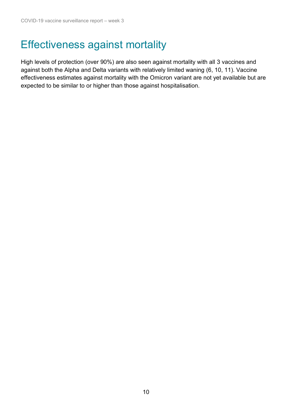# <span id="page-9-0"></span>Effectiveness against mortality

High levels of protection (over 90%) are also seen against mortality with all 3 vaccines and against both the Alpha and Delta variants with relatively limited waning (6, 10, 11). Vaccine effectiveness estimates against mortality with the Omicron variant are not yet available but are expected to be similar to or higher than those against hospitalisation.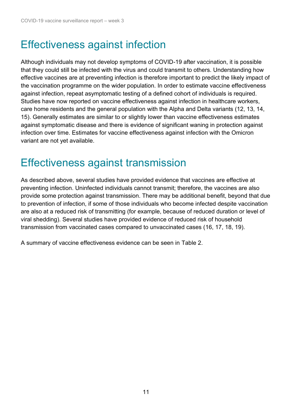## <span id="page-10-0"></span>Effectiveness against infection

Although individuals may not develop symptoms of COVID-19 after vaccination, it is possible that they could still be infected with the virus and could transmit to others. Understanding how effective vaccines are at preventing infection is therefore important to predict the likely impact of the vaccination programme on the wider population. In order to estimate vaccine effectiveness against infection, repeat asymptomatic testing of a defined cohort of individuals is required. Studies have now reported on vaccine effectiveness against infection in healthcare workers, care home residents and the general population with the Alpha and Delta variants (12, 13, 14, 15). Generally estimates are similar to or slightly lower than vaccine effectiveness estimates against symptomatic disease and there is evidence of significant waning in protection against infection over time. Estimates for vaccine effectiveness against infection with the Omicron variant are not yet available.

### <span id="page-10-1"></span>Effectiveness against transmission

As described above, several studies have provided evidence that vaccines are effective at preventing infection. Uninfected individuals cannot transmit; therefore, the vaccines are also provide some protection against transmission. There may be additional benefit, beyond that due to prevention of infection, if some of those individuals who become infected despite vaccination are also at a reduced risk of transmitting (for example, because of reduced duration or level of viral shedding). Several studies have provided evidence of reduced risk of household transmission from vaccinated cases compared to unvaccinated cases (16, 17, 18, 19).

A summary of vaccine effectiveness evidence can be seen in Table 2.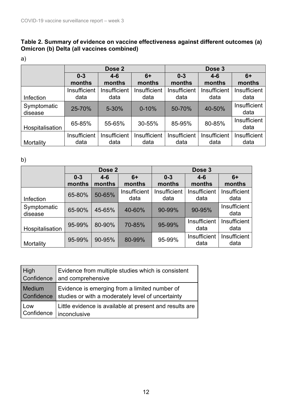#### **Table 2. Summary of evidence on vaccine effectiveness against different outcomes (a) Omicron (b) Delta (all vaccines combined)**

| I |  |
|---|--|

|                        | Dose 2       |              |              | Dose 3       |              |                      |
|------------------------|--------------|--------------|--------------|--------------|--------------|----------------------|
|                        | $0 - 3$      | $4 - 6$      | $6+$         | $0 - 3$      | $4 - 6$      | $6+$                 |
|                        | months       | months       | months       | months       | months       | months               |
|                        | Insufficient | Insufficient | Insufficient | Insufficient | Insufficient | Insufficient         |
| Infection              | data         | data         | data         | data         | data         | data                 |
| Symptomatic<br>disease | 25-70%       | 5-30%        | $0 - 10%$    | 50-70%       | 40-50%       | Insufficient<br>data |
| Hospitalisation        | 65-85%       | 55-65%       | 30-55%       | 85-95%       | 80-85%       | Insufficient<br>data |
|                        | Insufficient | Insufficient | Insufficient | Insufficient | Insufficient | Insufficient<br>data |
| Mortality              | data         | data         | data         | data         | data         |                      |

b)

|                        | Dose 2            |                   |                      | Dose 3               |                      |                      |
|------------------------|-------------------|-------------------|----------------------|----------------------|----------------------|----------------------|
|                        | $0 - 3$<br>months | $4 - 6$<br>months | 6+<br>months         | $0 - 3$<br>months    | $4 - 6$<br>months    | $6+$<br>months       |
| <b>Infection</b>       | 65-80%            | 50-65%            | Insufficient<br>data | Insufficient<br>data | Insufficient<br>data | Insufficient<br>data |
| Symptomatic<br>disease | 65-90%            | 45-65%            | 40-60%               | 90-99%               | 90-95%               | Insufficient<br>data |
| Hospitalisation        | 95-99%            | 80-90%            | 70-85%               | 95-99%               | Insufficient<br>data | Insufficient<br>data |
| Mortality              | 95-99%            | 90-95%            | 80-99%               | 95-99%               | Insufficient<br>data | Insufficient<br>data |

| High          | Evidence from multiple studies which is consistent      |
|---------------|---------------------------------------------------------|
| Confidence    | and comprehensive                                       |
| <b>Medium</b> | Evidence is emerging from a limited number of           |
| Confidence    | studies or with a moderately level of uncertainty       |
| Low           | Little evidence is available at present and results are |
| Confidence    | <i>i</i> nconclusive                                    |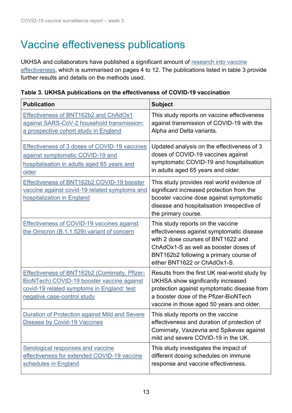## Vaccine effectiveness publications

UKHSA and collaborators have published a significant amount of [research into vaccine](https://www.gov.uk/government/publications/phe-monitoring-of-the-effectiveness-of-covid-19-vaccination)  [effectiveness,](https://www.gov.uk/government/publications/phe-monitoring-of-the-effectiveness-of-covid-19-vaccination) which is summarised on pages 4 to 12. The publications listed in table 3 provide further results and details on the methods used.

| <b>Publication</b>                                                                                                                                                       | <b>Subject</b>                                                                                                                                                                                                                          |
|--------------------------------------------------------------------------------------------------------------------------------------------------------------------------|-----------------------------------------------------------------------------------------------------------------------------------------------------------------------------------------------------------------------------------------|
| Effectiveness of BNT162b2 and ChAdOx1<br>against SARS-CoV-2 household transmission:<br>a prospective cohort study in England                                             | This study reports on vaccine effectiveness<br>against transmission of COVID-19 with the<br>Alpha and Delta variants.                                                                                                                   |
| Effectiveness of 3 doses of COVID-19 vaccines<br>against symptomatic COVID-19 and<br>hospitalisation in adults aged 65 years and<br>older                                | Updated analysis on the effectiveness of 3<br>doses of COVID-19 vaccines against<br>symptomatic COVID-19 and hospitalisation<br>in adults aged 65 years and older.                                                                      |
| Effectiveness of BNT162b2 COVID-19 booster<br>vaccine against covid-19 related symptoms and<br>hospitalization in England                                                | This study provides real world evidence of<br>significant increased protection from the<br>booster vaccine dose against symptomatic<br>disease and hospitalisation irrespective of<br>the primary course.                               |
| Effectiveness of COVID-19 vaccines against<br>the Omicron (B.1.1.529) variant of concern                                                                                 | This study reports on the vaccine<br>effectiveness against symptomatic disease<br>with 2 dose courses of BNT1622 and<br>ChAdOx1-S as well as booster doses of<br>BNT162b2 following a primary course of<br>either BNT1622 or ChAdOx1-S. |
| Effectiveness of BNT162b2 (Comirnaty, Pfizer-<br>BioNTech) COVID-19 booster vaccine against<br>covid-19 related symptoms in England: test<br>negative case-control study | Results from the first UK real-world study by<br>UKHSA show significantly increased<br>protection against symptomatic disease from<br>a booster dose of the Pfizer-BioNTech<br>vaccine in those aged 50 years and older.                |
| <b>Duration of Protection against Mild and Severe</b><br><b>Disease by Covid-19 Vaccines</b>                                                                             | This study reports on the vaccine<br>effectiveness and duration of protection of<br>Comirnaty, Vaxzevria and Spikevax against<br>mild and severe COVID-19 in the UK.                                                                    |
| Serological responses and vaccine<br>effectiveness for extended COVID-19 vaccine<br>schedules in England                                                                 | This study investigates the impact of<br>different dosing schedules on immune<br>response and vaccine effectiveness.                                                                                                                    |

**Table 3. UKHSA publications on the effectiveness of COVID-19 vaccination**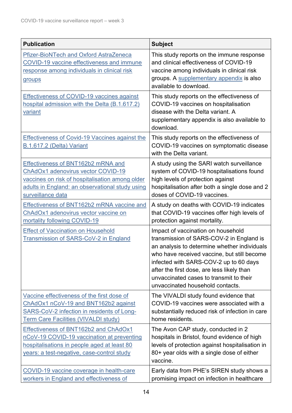| <b>Publication</b>                                                                                                                                                                                  | <b>Subject</b>                                                                                                                                                                                                                                                                                                                                       |
|-----------------------------------------------------------------------------------------------------------------------------------------------------------------------------------------------------|------------------------------------------------------------------------------------------------------------------------------------------------------------------------------------------------------------------------------------------------------------------------------------------------------------------------------------------------------|
| <b>Pfizer-BioNTech and Oxford AstraZeneca</b><br><b>COVID-19 vaccine effectiveness and immune</b><br>response among individuals in clinical risk<br>groups                                          | This study reports on the immune response<br>and clinical effectiveness of COVID-19<br>vaccine among individuals in clinical risk<br>groups. A supplementary appendix is also<br>available to download.                                                                                                                                              |
| <b>Effectiveness of COVID-19 vaccines against</b><br>hospital admission with the Delta (B.1.617.2)<br>variant                                                                                       | This study reports on the effectiveness of<br>COVID-19 vaccines on hospitalisation<br>disease with the Delta variant. A<br>supplementary appendix is also available to<br>download.                                                                                                                                                                  |
| <b>Effectiveness of Covid-19 Vaccines against the</b><br>B.1.617.2 (Delta) Variant                                                                                                                  | This study reports on the effectiveness of<br>COVID-19 vaccines on symptomatic disease<br>with the Delta variant.                                                                                                                                                                                                                                    |
| Effectiveness of BNT162b2 mRNA and<br>ChAdOx1 adenovirus vector COVID-19<br>vaccines on risk of hospitalisation among older<br>adults in England: an observational study using<br>surveillance data | A study using the SARI watch surveillance<br>system of COVID-19 hospitalisations found<br>high levels of protection against<br>hospitalisation after both a single dose and 2<br>doses of COVID-19 vaccines.                                                                                                                                         |
| Effectiveness of BNT162b2 mRNA vaccine and<br>ChAdOx1 adenovirus vector vaccine on<br>mortality following COVID-19                                                                                  | A study on deaths with COVID-19 indicates<br>that COVID-19 vaccines offer high levels of<br>protection against mortality.                                                                                                                                                                                                                            |
| <b>Effect of Vaccination on Household</b><br>Transmission of SARS-CoV-2 in England                                                                                                                  | Impact of vaccination on household<br>transmission of SARS-COV-2 in England is<br>an analysis to determine whether individuals<br>who have received vaccine, but still become<br>infected with SARS-COV-2 up to 60 days<br>after the first dose, are less likely than<br>unvaccinated cases to transmit to their<br>unvaccinated household contacts. |
| Vaccine effectiveness of the first dose of<br>ChAdOx1 nCoV-19 and BNT162b2 against<br>SARS-CoV-2 infection in residents of Long-<br><b>Term Care Facilities (VIVALDI study)</b>                     | The VIVALDI study found evidence that<br>COVID-19 vaccines were associated with a<br>substantially reduced risk of infection in care<br>home residents.                                                                                                                                                                                              |
| Effectiveness of BNT162b2 and ChAdOx1<br>nCoV-19 COVID-19 vaccination at preventing<br>hospitalisations in people aged at least 80<br>years: a test-negative, case-control study                    | The Avon CAP study, conducted in 2<br>hospitals in Bristol, found evidence of high<br>levels of protection against hospitalisation in<br>80+ year olds with a single dose of either<br>vaccine.                                                                                                                                                      |
| COVID-19 vaccine coverage in health-care<br>workers in England and effectiveness of                                                                                                                 | Early data from PHE's SIREN study shows a<br>promising impact on infection in healthcare                                                                                                                                                                                                                                                             |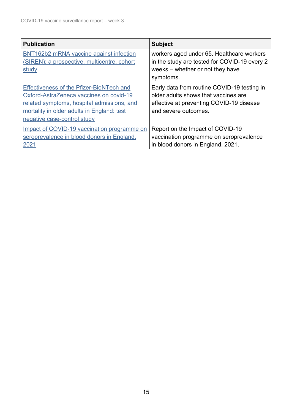| <b>Publication</b>                                                                                                                                                                                                    | <b>Subject</b>                                                                                                                                          |
|-----------------------------------------------------------------------------------------------------------------------------------------------------------------------------------------------------------------------|---------------------------------------------------------------------------------------------------------------------------------------------------------|
| BNT162b2 mRNA vaccine against infection<br>(SIREN): a prospective, multicentre, cohort<br>study                                                                                                                       | workers aged under 65. Healthcare workers<br>in the study are tested for COVID-19 every 2<br>weeks – whether or not they have<br>symptoms.              |
| <b>Effectiveness of the Pfizer-BioNTech and</b><br>Oxford-AstraZeneca vaccines on covid-19<br>related symptoms, hospital admissions, and<br>mortality in older adults in England: test<br>negative case-control study | Early data from routine COVID-19 testing in<br>older adults shows that vaccines are<br>effective at preventing COVID-19 disease<br>and severe outcomes. |
| Impact of COVID-19 vaccination programme on<br>seroprevalence in blood donors in England,<br>2021                                                                                                                     | Report on the Impact of COVID-19<br>vaccination programme on seroprevalence<br>in blood donors in England, 2021.                                        |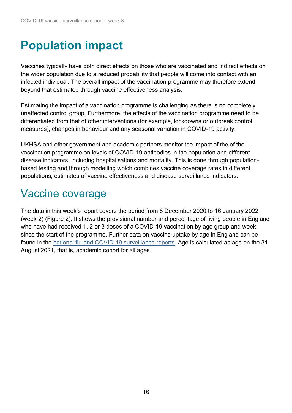# <span id="page-15-0"></span>**Population impact**

Vaccines typically have both direct effects on those who are vaccinated and indirect effects on the wider population due to a reduced probability that people will come into contact with an infected individual. The overall impact of the vaccination programme may therefore extend beyond that estimated through vaccine effectiveness analysis.

Estimating the impact of a vaccination programme is challenging as there is no completely unaffected control group. Furthermore, the effects of the vaccination programme need to be differentiated from that of other interventions (for example, lockdowns or outbreak control measures), changes in behaviour and any seasonal variation in COVID-19 activity.

UKHSA and other government and academic partners monitor the impact of the of the vaccination programme on levels of COVID-19 antibodies in the population and different disease indicators, including hospitalisations and mortality. This is done through populationbased testing and through modelling which combines vaccine coverage rates in different populations, estimates of vaccine effectiveness and disease surveillance indicators.

### <span id="page-15-1"></span>Vaccine coverage

The data in this week's report covers the period from 8 December 2020 to 16 January 2022 (week 2) (Figure 2). It shows the provisional number and percentage of living people in England who have had received 1, 2 or 3 doses of a COVID-19 vaccination by age group and week since the start of the programme. Further data on vaccine uptake by age in England can be found in the [national flu and COVID-19 surveillance reports.](https://www.gov.uk/government/statistics/national-flu-and-covid-19-surveillance-reports-2021-to-2022-season) Age is calculated as age on the 31 August 2021, that is, academic cohort for all ages.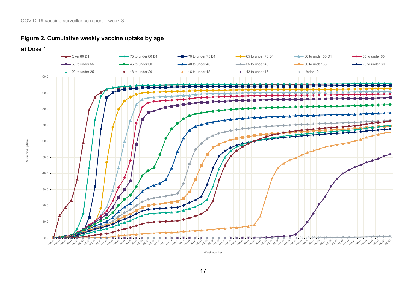

a) Dose 1



Week number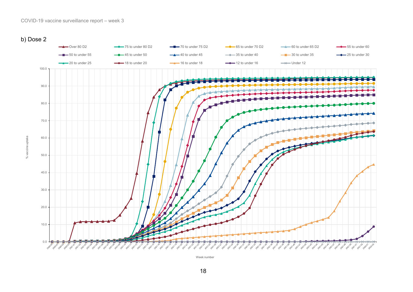

% vaccine uptake



Week number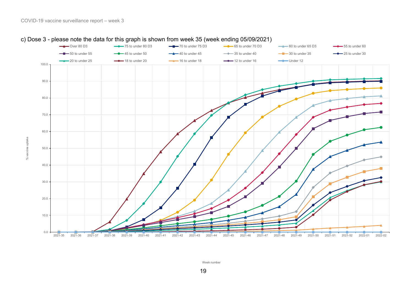

#### c) Dose 3 - please note the data for this graph is shown from week 35 (week ending 05/09/2021)

Week number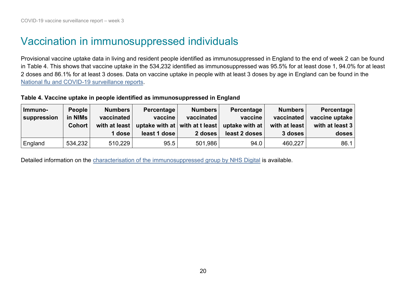### Vaccination in immunosuppressed individuals

Provisional vaccine uptake data in living and resident people identified as immunosuppressed in England to the end of week 2 can be found in Table 4. This shows that vaccine uptake in the 534,232 identified as immunosuppressed was 95.5% for at least dose 1, 94.0% for at least 2 doses and 86.1% for at least 3 doses. Data on vaccine uptake in people with at least 3 doses by age in England can be found in the [National flu and COVID-19 surveillance reports.](https://www.gov.uk/government/statistics/national-flu-and-covid-19-surveillance-reports-2021-to-2022-season)

#### **Table 4. Vaccine uptake in people identified as immunosuppressed in England**

| Immuno-<br>suppression | <b>People</b><br>in NIMs<br><b>Cohort</b> | <b>Numbers</b><br>vaccinated<br>with at least<br>1 dose | Percentage<br>vaccine<br>least 1 dose | <b>Numbers</b><br>vaccinated<br>2 doses | Percentage<br>vaccine<br>uptake with at $ $ with at t least $ $ uptake with at $ $<br>least 2 doses | <b>Numbers</b><br>vaccinated<br>with at least<br>3 doses | Percentage<br>vaccine uptake<br>with at least 3<br>doses |
|------------------------|-------------------------------------------|---------------------------------------------------------|---------------------------------------|-----------------------------------------|-----------------------------------------------------------------------------------------------------|----------------------------------------------------------|----------------------------------------------------------|
| England                | 534,232                                   | 510,229                                                 | 95.5                                  | 501,986                                 | 94.0                                                                                                | 460,227                                                  | 86.1                                                     |

<span id="page-19-0"></span>Detailed information on the [characterisation of the immunosuppressed group by NHS Digital](https://digital.nhs.uk/dashboards/gp-covid-19-vaccine-dashboard/3rd-primary-dose-cohort-identification-specification) is available.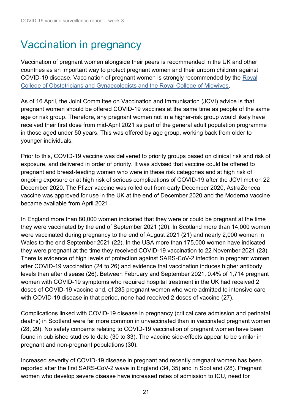# <span id="page-20-0"></span>Vaccination in pregnancy

Vaccination of pregnant women alongside their peers is recommended in the UK and other countries as an important way to protect pregnant women and their unborn children against COVID-19 disease. Vaccination of pregnant women is strongly recommended by the [Royal](https://www.rcog.org.uk/en/guidelines-research-services/guidelines/coronavirus-pregnancy/)  [College of Obstetricians and Gynaecologists and the Royal College of Midwives.](https://www.rcog.org.uk/en/guidelines-research-services/guidelines/coronavirus-pregnancy/)

As of 16 April, the Joint Committee on Vaccination and Immunisation (JCVI) advice is that pregnant women should be offered COVID-19 vaccines at the same time as people of the same age or risk group. Therefore, any pregnant women not in a higher-risk group would likely have received their first dose from mid-April 2021 as part of the general adult population programme in those aged under 50 years. This was offered by age group, working back from older to younger individuals.

Prior to this, COVID-19 vaccine was delivered to priority groups based on clinical risk and risk of exposure, and delivered in order of priority. It was advised that vaccine could be offered to pregnant and breast-feeding women who were in these risk categories and at high risk of ongoing exposure or at high risk of serious complications of COVID-19 after the JCVI met on 22 December 2020. The Pfizer vaccine was rolled out from early December 2020, AstraZeneca vaccine was approved for use in the UK at the end of December 2020 and the Moderna vaccine became available from April 2021.

In England more than 80,000 women indicated that they were or could be pregnant at the time they were vaccinated by the end of September 2021 (20). In Scotland more than 14,000 women were vaccinated during pregnancy to the end of August 2021 (21) and nearly 2,000 women in Wales to the end September 2021 (22). In the USA more than 175,000 women have indicated they were pregnant at the time they received COVID-19 vaccination to 22 November 2021 (23). There is evidence of high levels of protection against SARS-CoV-2 infection in pregnant women after COVID-19 vaccination (24 to 26) and evidence that vaccination induces higher antibody levels than after disease (26). Between February and September 2021, 0.4% of 1,714 pregnant women with COVID-19 symptoms who required hospital treatment in the UK had received 2 doses of COVID-19 vaccine and, of 235 pregnant women who were admitted to intensive care with COVID-19 disease in that period, none had received 2 doses of vaccine (27).

Complications linked with COVID-19 disease in pregnancy (critical care admission and perinatal deaths) in Scotland were far more common in unvaccinated than in vaccinated pregnant women (28, 29). No safety concerns relating to COVID-19 vaccination of pregnant women have been found in published studies to date (30 to 33). The vaccine side-effects appear to be similar in pregnant and non-pregnant populations (30).

Increased severity of COVID-19 disease in pregnant and recently pregnant women has been reported after the first SARS-CoV-2 wave in England (34, 35) and in Scotland (28). Pregnant women who develop severe disease have increased rates of admission to ICU, need for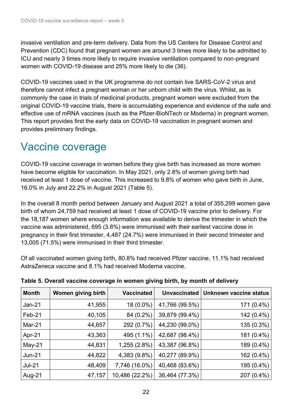invasive ventilation and pre-term delivery. Data from the US Centers for Disease Control and Prevention (CDC) found that pregnant women are around 3 times more likely to be admitted to ICU and nearly 3 times more likely to require invasive ventilation compared to non-pregnant women with COVID-19 disease and 25% more likely to die (36).

COVID-19 vaccines used in the UK programme do not contain live SARS-CoV-2 virus and therefore cannot infect a pregnant woman or her unborn child with the virus. Whilst, as is commonly the case in trials of medicinal products, pregnant women were excluded from the original COVID-19 vaccine trials, there is accumulating experience and evidence of the safe and effective use of mRNA vaccines (such as the Pfizer-BioNTech or Moderna) in pregnant women. This report provides first the early data on COVID-19 vaccination in pregnant women and provides preliminary findings.

### Vaccine coverage

COVID-19 vaccine coverage in women before they give birth has increased as more women have become eligible for vaccination. In May 2021, only 2.8% of women giving birth had received at least 1 dose of vaccine. This increased to 9.8% of women who gave birth in June, 16.0% in July and 22.2% in August 2021 (Table 5).

In the overall 8 month period between January and August 2021 a total of 355,299 women gave birth of whom 24,759 had received at least 1 dose of COVID-19 vaccine prior to delivery. For the 18,187 women where enough information was available to derive the trimester in which the vaccine was administered, 695 (3.8%) were immunised with their earliest vaccine dose in pregnancy in their first trimester, 4,487 (24.7%) were immunised in their second trimester and 13,005 (71.5%) were immunised in their third trimester.

Of all vaccinated women giving birth, 80.8% had received Pfizer vaccine, 11.1% had received AstraZeneca vaccine and 8.1% had received Moderna vaccine.

| <b>Month</b> | Women giving birth | <b>Vaccinated</b> | <b>Unvaccinated</b> | Unknown vaccine status |
|--------------|--------------------|-------------------|---------------------|------------------------|
| $Jan-21$     | 41,955             | $18(0.0\%)$       | 41,766 (99.5%)      | 171 (0.4%)             |
| Feb-21       | 40,105             | 84 (0.2%)         | 39,879 (99.4%)      | 142 (0.4%)             |
| Mar- $21$    | 44,657             | 292 (0.7%)        | 44,230 (99.0%)      | 135 (0.3%)             |
| Apr-21       | 43,363             | 495 (1.1%)        | 42,687 (98.4%)      | 181 (0.4%)             |
| $May-21$     | 44,831             | 1,255 (2.8%)      | 43,387 (96.8%)      | 189 (0.4%)             |
| $Jun-21$     | 44,822             | 4,383 (9.8%)      | 40,277 (89.9%)      | 162 (0.4%)             |
| $Jul-21$     | 48,409             | 7,746 (16.0%)     | 40,468 (83.6%)      | 195 (0.4%)             |
| Aug-21       | 47,157             | 10,486 (22.2%)    | 36,464 (77.3%)      | 207 (0.4%)             |

**Table 5. Overall vaccine coverage in women giving birth, by month of delivery**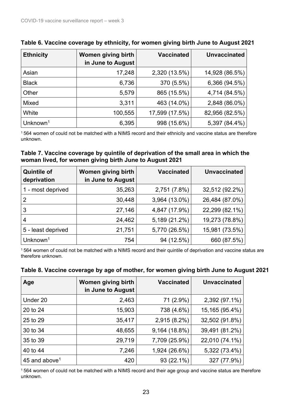| <b>Ethnicity</b>     | Women giving birth<br>in June to August | <b>Vaccinated</b> | <b>Unvaccinated</b> |
|----------------------|-----------------------------------------|-------------------|---------------------|
| Asian                | 17,248                                  | 2,320 (13.5%)     | 14,928 (86.5%)      |
| <b>Black</b>         | 6,736                                   | 370 (5.5%)        | 6,366 (94.5%)       |
| Other                | 5,579                                   | 865 (15.5%)       | 4,714 (84.5%)       |
| <b>Mixed</b>         | 3,311                                   | 463 (14.0%)       | 2,848 (86.0%)       |
| White                | 100,555                                 | 17,599 (17.5%)    | 82,956 (82.5%)      |
| Unknown <sup>1</sup> | 6,395                                   | 998 (15.6%)       | 5,397 (84.4%)       |

<span id="page-22-0"></span>

|  |  |  |  | Table 6. Vaccine coverage by ethnicity, for women giving birth June to August 2021 |
|--|--|--|--|------------------------------------------------------------------------------------|
|--|--|--|--|------------------------------------------------------------------------------------|

<sup>1</sup> 564 women of could not be matched with a NIMS record and their ethnicity and vaccine status are therefore unknown.

#### <span id="page-22-1"></span>**Table 7. Vaccine coverage by quintile of deprivation of the small area in which the woman lived, for women giving birth June to August 2021**

| <b>Quintile of</b><br>deprivation | Women giving birth<br>in June to August | <b>Vaccinated</b> | <b>Unvaccinated</b> |
|-----------------------------------|-----------------------------------------|-------------------|---------------------|
| 1 - most deprived                 | 35,263                                  | 2,751 (7.8%)      | 32,512 (92.2%)      |
| 2                                 | 30,448                                  | 3,964 (13.0%)     | 26,484 (87.0%)      |
| 3                                 | 27,146                                  | 4,847 (17.9%)     | 22,299 (82.1%)      |
| 4                                 | 24,462                                  | 5,189 (21.2%)     | 19,273 (78.8%)      |
| 5 - least deprived                | 21,751                                  | 5,770 (26.5%)     | 15,981 (73.5%)      |
| Unknown <sup>1</sup>              | 754                                     | 94 (12.5%)        | 660 (87.5%)         |

<sup>1</sup> 564 women of could not be matched with a NIMS record and their quintile of deprivation and vaccine status are therefore unknown.

| Age                       | Women giving birth<br>in June to August | <b>Vaccinated</b> | <b>Unvaccinated</b> |
|---------------------------|-----------------------------------------|-------------------|---------------------|
| Under 20                  | 2,463                                   | 71 (2.9%)         | 2,392 (97.1%)       |
| 20 to 24                  | 15,903                                  | 738 (4.6%)        | 15,165 (95.4%)      |
| 25 to 29                  | 35,417                                  | 2,915 (8.2%)      | 32,502 (91.8%)      |
| 30 to 34                  | 48,655                                  | 9,164 (18.8%)     | 39,491 (81.2%)      |
| 35 to 39                  | 29,719                                  | 7,709 (25.9%)     | 22,010 (74.1%)      |
| 40 to 44                  | 7,246                                   | 1,924 (26.6%)     | 5,322 (73.4%)       |
| 45 and above <sup>1</sup> | 420                                     | 93 (22.1%)        | 327 (77.9%)         |

#### **Table 8. Vaccine coverage by age of mother, for women giving birth June to August 2021**

<sup>1</sup> 564 women of could not be matched with a NIMS record and their age group and vaccine status are therefore unknown.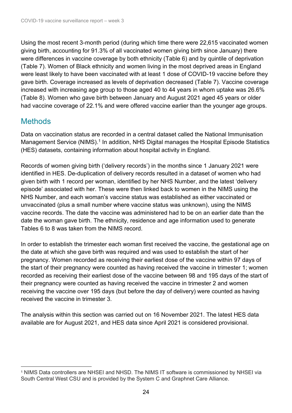Using the most recent 3-month period (during which time there were 22,615 vaccinated women giving birth, accounting for 91.3% of all vaccinated women giving birth since January) there were differences in vaccine coverage by both ethnicity [\(Table](#page-22-0) 6) and by quintile of deprivation [\(Table](#page-22-1) 7). Women of Black ethnicity and women living in the most deprived areas in England were least likely to have been vaccinated with at least 1 dose of COVID-19 vaccine before they gave birth. Coverage increased as levels of deprivation decreased (Table 7). Vaccine coverage increased with increasing age group to those aged 40 to 44 years in whom uptake was 26.6% (Table 8). Women who gave birth between January and August 2021 aged 45 years or older had vaccine coverage of 22.1% and were offered vaccine earlier than the younger age groups.

### **Methods**

Data on vaccination status are recorded in a central dataset called the National Immunisation Management Service (NIMS).<sup>1</sup> In addition, NHS Digital manages the Hospital Episode Statistics (HES) datasets, containing information about hospital activity in England.

Records of women giving birth ('delivery records') in the months since 1 January 2021 were identified in HES. De-duplication of delivery records resulted in a dataset of women who had given birth with 1 record per woman, identified by her NHS Number, and the latest 'delivery episode' associated with her. These were then linked back to women in the NIMS using the NHS Number, and each woman's vaccine status was established as either vaccinated or unvaccinated (plus a small number where vaccine status was unknown), using the NIMS vaccine records. The date the vaccine was administered had to be on an earlier date than the date the woman gave birth. The ethnicity, residence and age information used to generate Tables 6 to 8 was taken from the NIMS record.

In order to establish the trimester each woman first received the vaccine, the gestational age on the date at which she gave birth was required and was used to establish the start of her pregnancy. Women recorded as receiving their earliest dose of the vaccine within 97 days of the start of their pregnancy were counted as having received the vaccine in trimester 1; women recorded as receiving their earliest dose of the vaccine between 98 and 195 days of the start of their pregnancy were counted as having received the vaccine in trimester 2 and women receiving the vaccine over 195 days (but before the day of delivery) were counted as having received the vaccine in trimester 3.

The analysis within this section was carried out on 16 November 2021. The latest HES data available are for August 2021, and HES data since April 2021 is considered provisional.

<sup>1</sup> NIMS Data controllers are NHSEI and NHSD. The NIMS IT software is commissioned by NHSEI via South Central West CSU and is provided by the System C and Graphnet Care Alliance.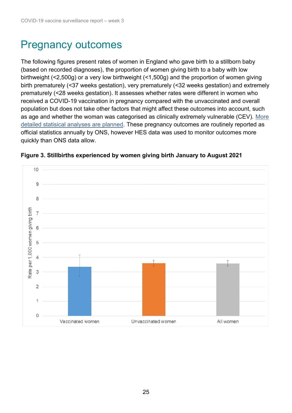## Pregnancy outcomes

The following figures present rates of women in England who gave birth to a stillborn baby (based on recorded diagnoses), the proportion of women giving birth to a baby with low birthweight (<2,500g) or a very low birthweight (<1,500g) and the proportion of women giving birth prematurely (<37 weeks gestation), very prematurely (<32 weeks gestation) and extremely prematurely (<28 weeks gestation). It assesses whether rates were different in women who received a COVID-19 vaccination in pregnancy compared with the unvaccinated and overall population but does not take other factors that might affect these outcomes into account, such as age and whether the woman was categorised as clinically extremely vulnerable (CEV). [More](https://www.gov.uk/government/collections/covid-19-vaccination-programme#surveillance)  [detailed statisical analyses are planned.](https://www.gov.uk/government/collections/covid-19-vaccination-programme#surveillance) These pregnancy outcomes are routinely reported as official statistics annually by ONS, however HES data was used to monitor outcomes more quickly than ONS data allow.

<span id="page-24-0"></span>

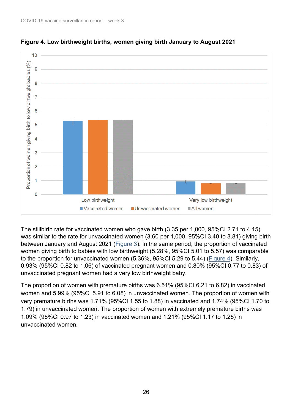



The stillbirth rate for vaccinated women who gave birth (3.35 per 1,000, 95%CI 2.71 to 4.15) was similar to the rate for unvaccinated women (3.60 per 1,000, 95%CI 3.40 to 3.81) giving birth between January and August 2021 (Figure 3). In the same period, the proportion of vaccinated women giving birth to babies with low birthweight (5.28%, 95%CI 5.01 to 5.57) was comparable to the proportion for unvaccinated women (5.36%, 95%CI 5.29 to 5.44) [\(Figure 4\)](#page-24-0). Similarly, 0.93% (95%CI 0.82 to 1.06) of vaccinated pregnant women and 0.80% (95%CI 0.77 to 0.83) of unvaccinated pregnant women had a very low birthweight baby.

The proportion of women with premature births was 6.51% (95%CI 6.21 to 6.82) in vaccinated women and 5.99% (95%CI 5.91 to 6.08) in unvaccinated women. The proportion of women with very premature births was 1.71% (95%CI 1.55 to 1.88) in vaccinated and 1.74% (95%CI 1.70 to 1.79) in unvaccinated women. The proportion of women with extremely premature births was 1.09% (95%CI 0.97 to 1.23) in vaccinated women and 1.21% (95%CI 1.17 to 1.25) in unvaccinated women.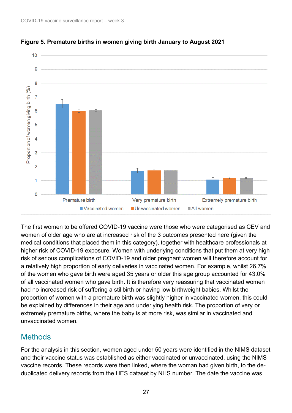

**Figure 5. Premature births in women giving birth January to August 2021**

The first women to be offered COVID-19 vaccine were those who were categorised as CEV and women of older age who are at increased risk of the 3 outcomes presented here (given the medical conditions that placed them in this category), together with healthcare professionals at higher risk of COVID-19 exposure. Women with underlying conditions that put them at very high risk of serious complications of COVID-19 and older pregnant women will therefore account for a relatively high proportion of early deliveries in vaccinated women. For example, whilst 26.7% of the women who gave birth were aged 35 years or older this age group accounted for 43.0% of all vaccinated women who gave birth. It is therefore very reassuring that vaccinated women had no increased risk of suffering a stillbirth or having low birthweight babies. Whilst the proportion of women with a premature birth was slightly higher in vaccinated women, this could be explained by differences in their age and underlying health risk. The proportion of very or extremely premature births, where the baby is at more risk, was similar in vaccinated and unvaccinated women.

#### **Methods**

For the analysis in this section, women aged under 50 years were identified in the NIMS dataset and their vaccine status was established as either vaccinated or unvaccinated, using the NIMS vaccine records. These records were then linked, where the woman had given birth, to the deduplicated delivery records from the HES dataset by NHS number. The date the vaccine was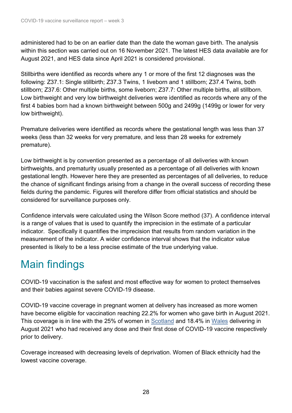administered had to be on an earlier date than the date the woman gave birth. The analysis within this section was carried out on 16 November 2021. The latest HES data available are for August 2021, and HES data since April 2021 is considered provisional.

Stillbirths were identified as records where any 1 or more of the first 12 diagnoses was the following: Z37.1: Single stillbirth; Z37.3 Twins, 1 liveborn and 1 stillborn; Z37.4 Twins, both stillborn; Z37.6: Other multiple births, some liveborn; Z37.7: Other multiple births, all stillborn. Low birthweight and very low birthweight deliveries were identified as records where any of the first 4 babies born had a known birthweight between 500g and 2499g (1499g or lower for very low birthweight).

Premature deliveries were identified as records where the gestational length was less than 37 weeks (less than 32 weeks for very premature, and less than 28 weeks for extremely premature).

Low birthweight is by convention presented as a percentage of all deliveries with known birthweights, and prematurity usually presented as a percentage of all deliveries with known gestational length. However here they are presented as percentages of all deliveries, to reduce the chance of significant findings arising from a change in the overall success of recording these fields during the pandemic. Figures will therefore differ from official statistics and should be considered for surveillance purposes only.

Confidence intervals were calculated using the Wilson Score method (37). A confidence interval is a range of values that is used to quantify the imprecision in the estimate of a particular indicator. Specifically it quantifies the imprecision that results from random variation in the measurement of the indicator. A wider confidence interval shows that the indicator value presented is likely to be a less precise estimate of the true underlying value.

## Main findings

COVID-19 vaccination is the safest and most effective way for women to protect themselves and their babies against severe COVID-19 disease.

COVID-19 vaccine coverage in pregnant women at delivery has increased as more women have become eligible for vaccination reaching 22.2% for women who gave birth in August 2021. This coverage is in line with the 25% of women in [Scotland](https://publichealthscotland.scot/publications/covid-19-statistical-report/covid-19-statistical-report-6-october-2021/) and 18.4% in [Wales](https://www2.nphs.wales.nhs.uk/CommunitySurveillanceDocs.nsf/3dc04669c9e1eaa880257062003b246b/e61c928e715ece3180258680003449c3/$FILE/Wales%20COVID-19%20vaccination%20enhanced%20surveillance%20-%20equality%20report.pdf) delivering in August 2021 who had received any dose and their first dose of COVID-19 vaccine respectively prior to delivery.

Coverage increased with decreasing levels of deprivation. Women of Black ethnicity had the lowest vaccine coverage.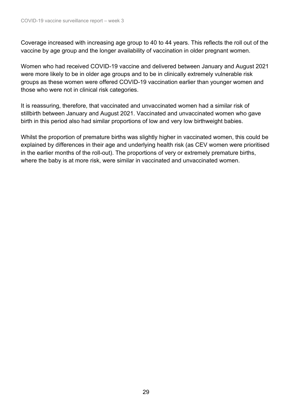Coverage increased with increasing age group to 40 to 44 years. This reflects the roll out of the vaccine by age group and the longer availability of vaccination in older pregnant women.

Women who had received COVID-19 vaccine and delivered between January and August 2021 were more likely to be in older age groups and to be in clinically extremely vulnerable risk groups as these women were offered COVID-19 vaccination earlier than younger women and those who were not in clinical risk categories.

It is reassuring, therefore, that vaccinated and unvaccinated women had a similar risk of stillbirth between January and August 2021. Vaccinated and unvaccinated women who gave birth in this period also had similar proportions of low and very low birthweight babies.

Whilst the proportion of premature births was slightly higher in vaccinated women, this could be explained by differences in their age and underlying health risk (as CEV women were prioritised in the earlier months of the roll-out). The proportions of very or extremely premature births, where the baby is at more risk, were similar in vaccinated and unvaccinated women.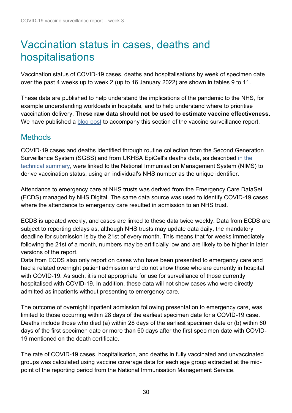### <span id="page-29-0"></span>Vaccination status in cases, deaths and hospitalisations

Vaccination status of COVID-19 cases, deaths and hospitalisations by week of specimen date over the past 4 weeks up to week 2 (up to 16 January 2022) are shown in tables 9 to 11.

These data are published to help understand the implications of the pandemic to the NHS, for example understanding workloads in hospitals, and to help understand where to prioritise vaccination delivery. **These raw data should not be used to estimate vaccine effectiveness.** We have published a [blog](https://ukhsa.blog.gov.uk/2021/11/02/transparency-and-data-ukhsas-vaccines-report/) post to accompany this section of the vaccine surveillance report.

### **Methods**

COVID-19 cases and deaths identified through routine collection from the Second Generation Surveillance System (SGSS) and from UKHSA EpiCell's deaths data, as described [in the](https://assets.publishing.service.gov.uk/government/uploads/system/uploads/attachment_data/file/882565/Technical_Summary_PHE_Data_Series_COVID-19_Deaths_20200429.pdf)  [technical summary,](https://assets.publishing.service.gov.uk/government/uploads/system/uploads/attachment_data/file/882565/Technical_Summary_PHE_Data_Series_COVID-19_Deaths_20200429.pdf) were linked to the National Immunisation Management System (NIMS) to derive vaccination status, using an individual's NHS number as the unique identifier.

Attendance to emergency care at NHS trusts was derived from the Emergency Care DataSet (ECDS) managed by NHS Digital. The same data source was used to identify COVID-19 cases where the attendance to emergency care resulted in admission to an NHS trust.

ECDS is updated weekly, and cases are linked to these data twice weekly. Data from ECDS are subject to reporting delays as, although NHS trusts may update data daily, the mandatory deadline for submission is by the 21st of every month. This means that for weeks immediately following the 21st of a month, numbers may be artificially low and are likely to be higher in later versions of the report.

Data from ECDS also only report on cases who have been presented to emergency care and had a related overnight patient admission and do not show those who are currently in hospital with COVID-19. As such, it is not appropriate for use for surveillance of those currently hospitalised with COVID-19. In addition, these data will not show cases who were directly admitted as inpatients without presenting to emergency care.

The outcome of overnight inpatient admission following presentation to emergency care, was limited to those occurring within 28 days of the earliest specimen date for a COVID-19 case. Deaths include those who died (a) within 28 days of the earliest specimen date or (b) within 60 days of the first specimen date or more than 60 days after the first specimen date with COVID-19 mentioned on the death certificate.

The rate of COVID-19 cases, hospitalisation, and deaths in fully vaccinated and unvaccinated groups was calculated using vaccine coverage data for each age group extracted at the midpoint of the reporting period from the National Immunisation Management Service.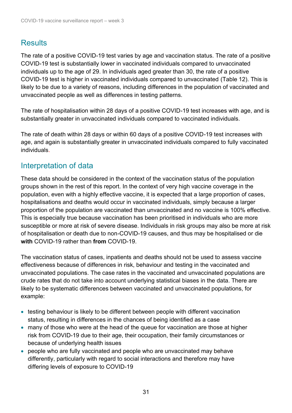### **Results**

The rate of a positive COVID-19 test varies by age and vaccination status. The rate of a positive COVID-19 test is substantially lower in vaccinated individuals compared to unvaccinated individuals up to the age of 29. In individuals aged greater than 30, the rate of a positive COVID-19 test is higher in vaccinated individuals compared to unvaccinated (Table 12). This is likely to be due to a variety of reasons, including differences in the population of vaccinated and unvaccinated people as well as differences in testing patterns.

The rate of hospitalisation within 28 days of a positive COVID-19 test increases with age, and is substantially greater in unvaccinated individuals compared to vaccinated individuals.

The rate of death within 28 days or within 60 days of a positive COVID-19 test increases with age, and again is substantially greater in unvaccinated individuals compared to fully vaccinated individuals.

#### Interpretation of data

These data should be considered in the context of the vaccination status of the population groups shown in the rest of this report. In the context of very high vaccine coverage in the population, even with a highly effective vaccine, it is expected that a large proportion of cases, hospitalisations and deaths would occur in vaccinated individuals, simply because a larger proportion of the population are vaccinated than unvaccinated and no vaccine is 100% effective. This is especially true because vaccination has been prioritised in individuals who are more susceptible or more at risk of severe disease. Individuals in risk groups may also be more at risk of hospitalisation or death due to non-COVID-19 causes, and thus may be hospitalised or die **with** COVID-19 rather than **from** COVID-19.

The vaccination status of cases, inpatients and deaths should not be used to assess vaccine effectiveness because of differences in risk, behaviour and testing in the vaccinated and unvaccinated populations. The case rates in the vaccinated and unvaccinated populations are crude rates that do not take into account underlying statistical biases in the data. There are likely to be systematic differences between vaccinated and unvaccinated populations, for example:

- testing behaviour is likely to be different between people with different vaccination status, resulting in differences in the chances of being identified as a case
- many of those who were at the head of the queue for vaccination are those at higher risk from COVID-19 due to their age, their occupation, their family circumstances or because of underlying health issues
- people who are fully vaccinated and people who are unvaccinated may behave differently, particularly with regard to social interactions and therefore may have differing levels of exposure to COVID-19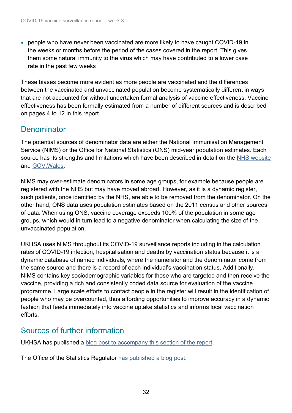• people who have never been vaccinated are more likely to have caught COVID-19 in the weeks or months before the period of the cases covered in the report. This gives them some natural immunity to the virus which may have contributed to a lower case rate in the past few weeks

These biases become more evident as more people are vaccinated and the differences between the vaccinated and unvaccinated population become systematically different in ways that are not accounted for without undertaken formal analysis of vaccine effectiveness. Vaccine effectiveness has been formally estimated from a number of different sources and is described on pages 4 to 12 in this report.

#### **Denominator**

The potential sources of denominator data are either the National Immunisation Management Service (NIMS) or the Office for National Statistics (ONS) mid-year population estimates. Each source has its strengths and limitations which have been described in detail on the [NHS website](https://www.england.nhs.uk/statistics/statistical-work-areas/covid-19-vaccinations/) and [GOV.Wales.](https://digitalanddata.blog.gov.wales/2021/09/22/chief-statisticians-update-what-share-of-people-have-been-vaccinated-in-wales/)

NIMS may over-estimate denominators in some age groups, for example because people are registered with the NHS but may have moved abroad. However, as it is a dynamic register, such patients, once identified by the NHS, are able to be removed from the denominator. On the other hand, ONS data uses population estimates based on the 2011 census and other sources of data. When using ONS, vaccine coverage exceeds 100% of the population in some age groups, which would in turn lead to a negative denominator when calculating the size of the unvaccinated population.

UKHSA uses NIMS throughout its COVID-19 surveillance reports including in the calculation rates of COVID-19 infection, hospitalisation and deaths by vaccination status because it is a dynamic database of named individuals, where the numerator and the denominator come from the same source and there is a record of each individual's vaccination status. Additionally, NIMS contains key sociodemographic variables for those who are targeted and then receive the vaccine, providing a rich and consistently coded data source for evaluation of the vaccine programme. Large scale efforts to contact people in the register will result in the identification of people who may be overcounted, thus affording opportunities to improve accuracy in a dynamic fashion that feeds immediately into vaccine uptake statistics and informs local vaccination efforts.

#### Sources of further information

UKHSA has published a blog post [to accompany this section of the report.](https://ukhsa.blog.gov.uk/2021/11/02/transparency-and-data-ukhsas-vaccines-report/)

The Office of the Statistics Regulator [has published a blog](https://osr.statisticsauthority.gov.uk/communicating-data-is-more-than-just-presenting-the-numbers/) post.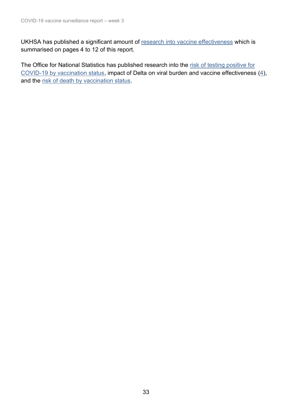UKHSA has published a significant amount of [research into vaccine effectiveness](https://www.gov.uk/government/publications/phe-monitoring-of-the-effectiveness-of-covid-19-vaccination) which is summarised on pages 4 to 12 of this report.

The Office for National Statistics has published research into the risk of testing positive for [COVID-19 by vaccination status,](https://www.ons.gov.uk/peoplepopulationandcommunity/healthandsocialcare/conditionsanddiseases/articles/coronaviruscovid19infectionsurveytechnicalarticleimpactofvaccinationontestingpositiveintheuk/october2021) impact of Delta on viral burden and vaccine effectiveness (4), and the [risk of death by vaccination status.](https://www.ons.gov.uk/peoplepopulationandcommunity/birthsdeathsandmarriages/deaths/articles/deathsinvolvingcovid19byvaccinationstatusengland/deathsoccurringbetween2januaryand2july2021)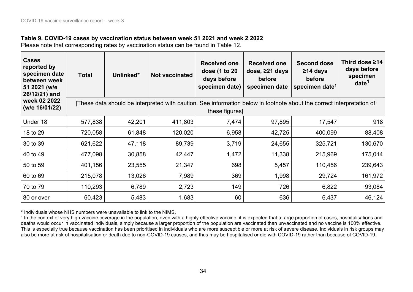#### **Table 9. COVID-19 cases by vaccination status between week 51 2021 and week 2 2022**

Please note that corresponding rates by vaccination status can be found in Table 12.

| <b>Cases</b><br>reported by<br>specimen date<br>between week<br>51 2021 (w/e<br>26/12/21) and | <b>Total</b>                                                                                                                            | Unlinked* | <b>Not vaccinated</b> | <b>Received one</b><br>dose (1 to 20<br>days before<br>specimen date) | <b>Received one</b><br>dose, $\geq$ 21 days<br>before<br>specimen date | <b>Second dose</b><br>$≥14$ days<br>before<br>specimen date <sup>1</sup> | Third dose ≥14<br>days before<br>specimen<br>date <sup>1</sup> |  |
|-----------------------------------------------------------------------------------------------|-----------------------------------------------------------------------------------------------------------------------------------------|-----------|-----------------------|-----------------------------------------------------------------------|------------------------------------------------------------------------|--------------------------------------------------------------------------|----------------------------------------------------------------|--|
| week 02 2022<br>(w/e 16/01/22)                                                                | [These data should be interpreted with caution. See information below in footnote about the correct interpretation of<br>these figures] |           |                       |                                                                       |                                                                        |                                                                          |                                                                |  |
| Under 18                                                                                      | 577,838                                                                                                                                 | 42,201    | 411,803               | 7,474                                                                 | 97,895                                                                 | 17,547                                                                   | 918                                                            |  |
| 18 to 29                                                                                      | 720,058                                                                                                                                 | 61,848    | 120,020               | 6,958                                                                 | 42,725                                                                 | 400,099                                                                  | 88,408                                                         |  |
| 30 to 39                                                                                      | 621,622                                                                                                                                 | 47,118    | 89,739                | 3,719                                                                 | 24,655                                                                 | 325,721                                                                  | 130,670                                                        |  |
| 40 to 49                                                                                      | 477,098                                                                                                                                 | 30,858    | 42,447                | 1,472                                                                 | 11,338                                                                 | 215,969                                                                  | 175,014                                                        |  |
| 50 to 59                                                                                      | 401,156                                                                                                                                 | 23,555    | 21,347                | 698                                                                   | 5,457                                                                  | 110,456                                                                  | 239,643                                                        |  |
| 60 to 69                                                                                      | 215,078                                                                                                                                 | 13,026    | 7,989                 | 369                                                                   | 1,998                                                                  | 29,724                                                                   | 161,972                                                        |  |
| 70 to 79                                                                                      | 110,293                                                                                                                                 | 6,789     | 2,723                 | 149                                                                   | 726                                                                    | 6,822                                                                    | 93,084                                                         |  |
| 80 or over                                                                                    | 60,423                                                                                                                                  | 5,483     | 1,683                 | 60                                                                    | 636                                                                    | 6,437                                                                    | 46,124                                                         |  |

\* Individuals whose NHS numbers were unavailable to link to the NIMS.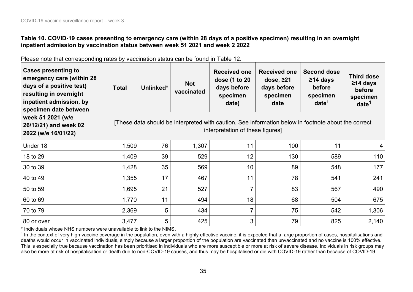#### **Table 10. COVID-19 cases presenting to emergency care (within 28 days of a positive specimen) resulting in an overnight inpatient admission by vaccination status between week 51 2021 and week 2 2022**

Please note that corresponding rates by vaccination status can be found in Table 12.

| <b>Cases presenting to</b><br>emergency care (within 28<br>days of a positive test)<br>resulting in overnight<br>inpatient admission, by<br>specimen date between                                            | <b>Total</b> | Unlinked* | <b>Not</b><br>vaccinated | <b>Received one</b><br>dose (1 to 20<br>days before<br>specimen<br>date) | <b>Received one</b><br>dose, $\geq$ 21<br>days before<br>specimen<br>date | <b>Second dose</b><br>$≥14$ days<br>before<br>specimen<br>date <sup>1</sup> | <b>Third dose</b><br>$≥14$ days<br>before<br>specimen<br>date <sup>1</sup> |
|--------------------------------------------------------------------------------------------------------------------------------------------------------------------------------------------------------------|--------------|-----------|--------------------------|--------------------------------------------------------------------------|---------------------------------------------------------------------------|-----------------------------------------------------------------------------|----------------------------------------------------------------------------|
| week 51 2021 (w/e<br>[These data should be interpreted with caution. See information below in footnote about the correct<br>26/12/21) and week 02<br>interpretation of these figures]<br>2022 (w/e 16/01/22) |              |           |                          |                                                                          |                                                                           |                                                                             |                                                                            |
| Under 18                                                                                                                                                                                                     | 1,509        | 76        | 1,307                    | 11                                                                       | 100                                                                       | 11                                                                          | 4                                                                          |
| 18 to 29                                                                                                                                                                                                     | 1,409        | 39        | 529                      | 12                                                                       | 130                                                                       | 589                                                                         | 110                                                                        |
| 30 to 39                                                                                                                                                                                                     | 1,428        | 35        | 569                      | 10 <sup>°</sup>                                                          | 89                                                                        | 548                                                                         | 177                                                                        |
| 40 to 49                                                                                                                                                                                                     | 1,355        | 17        | 467                      | 11                                                                       | 78                                                                        | 541                                                                         | 241                                                                        |
| 50 to 59                                                                                                                                                                                                     | 1,695        | 21        | 527                      | $\overline{7}$                                                           | 83                                                                        | 567                                                                         | 490                                                                        |
| 60 to 69                                                                                                                                                                                                     | 1,770        | 11        | 494                      | 18                                                                       | 68                                                                        | 504                                                                         | 675                                                                        |
| 70 to 79                                                                                                                                                                                                     | 2,369        | 5         | 434                      | $\overline{7}$                                                           | 75                                                                        | 542                                                                         | 1,306                                                                      |
| 80 or over                                                                                                                                                                                                   | 3,477        | 5         | 425                      | 3                                                                        | 79                                                                        | 825                                                                         | 2,140                                                                      |

\* Individuals whose NHS numbers were unavailable to link to the NIMS.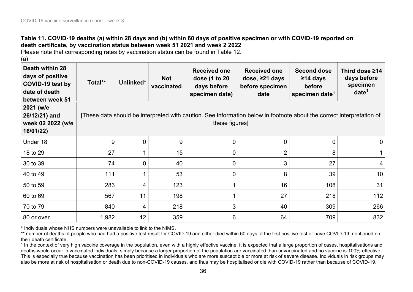#### **Table 11. COVID-19 deaths (a) within 28 days and (b) within 60 days of positive specimen or with COVID-19 reported on death certificate, by vaccination status between week 51 2021 and week 2 2022**

Please note that corresponding rates by vaccination status can be found in Table 12.

| (a)                                                                                         |                                                                                                                                        |                |                          |                                                                       |                                                                  |                                                                          |                                                                |
|---------------------------------------------------------------------------------------------|----------------------------------------------------------------------------------------------------------------------------------------|----------------|--------------------------|-----------------------------------------------------------------------|------------------------------------------------------------------|--------------------------------------------------------------------------|----------------------------------------------------------------|
| Death within 28<br>days of positive<br>COVID-19 test by<br>date of death<br>between week 51 | Total**                                                                                                                                | Unlinked*      | <b>Not</b><br>vaccinated | <b>Received one</b><br>dose (1 to 20<br>days before<br>specimen date) | <b>Received one</b><br>dose, ≥21 days<br>before specimen<br>date | <b>Second dose</b><br>$≥14$ days<br>before<br>specimen date <sup>1</sup> | Third dose ≥14<br>days before<br>specimen<br>date <sup>1</sup> |
| 2021 (w/e<br>26/12/21) and<br>week 02 2022 (w/e<br>16/01/22)                                | These data should be interpreted with caution. See information below in footnote about the correct interpretation of<br>these figures] |                |                          |                                                                       |                                                                  |                                                                          |                                                                |
| Under 18                                                                                    | 9                                                                                                                                      | $\overline{0}$ | 9                        | $\overline{0}$                                                        | 0                                                                | 0                                                                        | $\mathbf 0$                                                    |
| 18 to 29                                                                                    | 27                                                                                                                                     |                | 15                       | 0                                                                     | $\overline{2}$                                                   | 8                                                                        |                                                                |
| 30 to 39                                                                                    | 74                                                                                                                                     | $\overline{0}$ | 40                       | $\overline{0}$                                                        | $\mathfrak{S}$                                                   | 27                                                                       | 4                                                              |
| 40 to 49                                                                                    | 111                                                                                                                                    |                | 53                       | $\overline{0}$                                                        | 8                                                                | 39                                                                       | 10 <sup>°</sup>                                                |
| 50 to 59                                                                                    | 283                                                                                                                                    | 4              | 123                      |                                                                       | 16                                                               | 108                                                                      | 31                                                             |
| 60 to 69                                                                                    | 567                                                                                                                                    | 11             | 198                      |                                                                       | 27                                                               | 218                                                                      | 112                                                            |
| 70 to 79                                                                                    | 840                                                                                                                                    | 4              | 218                      | 3                                                                     | 40                                                               | 309                                                                      | 266                                                            |
| 80 or over                                                                                  | 1,982                                                                                                                                  | 12             | 359                      | 6                                                                     | 64                                                               | 709                                                                      | 832                                                            |

\* Individuals whose NHS numbers were unavailable to link to the NIMS.

\*\* number of deaths of people who had had a positive test result for COVID-19 and either died within 60 days of the first positive test or have COVID-19 mentioned on their death certificate.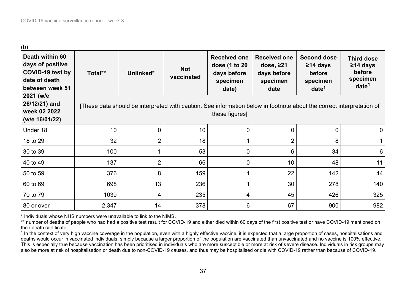| (b)                                                                                         |         |                                                                                                                       |                          |                                                                          |                                                                           |                                                                             |                                                                                |
|---------------------------------------------------------------------------------------------|---------|-----------------------------------------------------------------------------------------------------------------------|--------------------------|--------------------------------------------------------------------------|---------------------------------------------------------------------------|-----------------------------------------------------------------------------|--------------------------------------------------------------------------------|
| Death within 60<br>days of positive<br>COVID-19 test by<br>date of death<br>between week 51 | Total** | Unlinked*                                                                                                             | <b>Not</b><br>vaccinated | <b>Received one</b><br>dose (1 to 20<br>days before<br>specimen<br>date) | <b>Received one</b><br>dose, $\geq$ 21<br>days before<br>specimen<br>date | <b>Second dose</b><br>$≥14$ days<br>before<br>specimen<br>date <sup>1</sup> | <b>Third dose</b><br>$\geq$ 14 days<br>before<br>specimen<br>date <sup>1</sup> |
| 2021 (w/e<br>26/12/21) and<br>week 02 2022<br>(w/e 16/01/22)                                |         | [These data should be interpreted with caution. See information below in footnote about the correct interpretation of |                          | these figures]                                                           |                                                                           |                                                                             |                                                                                |
| Under 18                                                                                    | 10      | 0                                                                                                                     | 10                       | $\overline{0}$                                                           | 0                                                                         | 0                                                                           | $\mathbf 0$                                                                    |
| 18 to 29                                                                                    | 32      | $\overline{2}$                                                                                                        | 18                       |                                                                          | $\overline{2}$                                                            | 8                                                                           |                                                                                |
| 30 to 39                                                                                    | 100     |                                                                                                                       | 53                       | 0                                                                        | 6                                                                         | 34                                                                          | 6                                                                              |
| 40 to 49                                                                                    | 137     | $\overline{2}$                                                                                                        | 66                       | 0                                                                        | 10                                                                        | 48                                                                          | 11                                                                             |
| 50 to 59                                                                                    | 376     | 8                                                                                                                     | 159                      | 1                                                                        | 22                                                                        | 142                                                                         | 44                                                                             |
| 60 to 69                                                                                    | 698     | 13                                                                                                                    | 236                      | 1                                                                        | 30                                                                        | 278                                                                         | 140                                                                            |
| 70 to 79                                                                                    | 1039    | 4                                                                                                                     | 235                      | 4                                                                        | 45                                                                        | 426                                                                         | 325                                                                            |
| 80 or over                                                                                  | 2,347   | 14                                                                                                                    | 378                      | 6                                                                        | 67                                                                        | 900                                                                         | 982                                                                            |

\* Individuals whose NHS numbers were unavailable to link to the NIMS.

\*\* number of deaths of people who had had a positive test result for COVID-19 and either died within 60 days of the first positive test or have COVID-19 mentioned on their death certificate.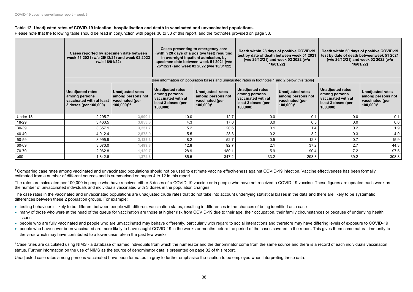- 
- 
- 

#### **Table 12. Unadjusted rates of COVID-19 infection, hospitalisation and death in vaccinated and unvaccinated populations.**

Please note that the following table should be read in conjunction with pages 30 to 33 of this report, and the footnotes provided on page 38.

<sup>1</sup> Comparing case rates among vaccinated and unvaccinated populations should not be used to estimate vaccine effectiveness against COVID-19 infection. Vaccine effectiveness has been formally estimated from a number of different sources and is summarised on pages 4 to 12 in this report.

|           | Cases reported by specimen date between<br>week 51 2021 (w/e 26/12/21) and week 02 2022<br>(w/e 16/01/22) |                                                                                                          | Cases presenting to emergency care<br>(within 28 days of a positive test) resulting<br>in overnight inpatient admission, by<br>specimen date between week 51 2021 (w/e<br>26/12/21) and week 02 2022 (w/e 16/01/22) |                                                                                           | test by date of death between week 51 2021                                                       | Death within 28 days of positive COVID-19<br>(w/e 26/12/21) and week 02 2022 (w/e<br>16/01/22) | Death within 60 days of positive COVID-19<br>test by date of death betweenweek 51 2021<br>(w/e 26/12/21) and week 02 2022 (w/e<br>16/01/22) |                                                                                           |
|-----------|-----------------------------------------------------------------------------------------------------------|----------------------------------------------------------------------------------------------------------|---------------------------------------------------------------------------------------------------------------------------------------------------------------------------------------------------------------------|-------------------------------------------------------------------------------------------|--------------------------------------------------------------------------------------------------|------------------------------------------------------------------------------------------------|---------------------------------------------------------------------------------------------------------------------------------------------|-------------------------------------------------------------------------------------------|
|           |                                                                                                           |                                                                                                          |                                                                                                                                                                                                                     |                                                                                           | [see information on population bases and unadjusted rates in footnotes 1 and 2 below this table] |                                                                                                |                                                                                                                                             |                                                                                           |
|           | <b>Unadjusted rates</b><br>among persons<br>vaccinated with at least<br>3 doses (per 100,000)             | <b>Unadjusted rates</b><br>among persons not<br>vaccinated (per<br>$100,000$ <sup><math>1,2</math></sup> | <b>Unadjusted rates</b><br>among persons<br>vaccinated with at<br>least 3 doses (per<br>100,000                                                                                                                     | <b>Unadjusted rates</b><br>among persons not<br>vaccinated (per<br>$100,000$ <sup>2</sup> | <b>Unadjusted rates</b><br>among persons<br>vaccinated with at<br>least 3 doses (per<br>100,000  | <b>Unadjusted rates</b><br>among persons not<br>vaccinated (per<br>$100,000$ <sup>2</sup>      | <b>Unadjusted rates</b><br>among persons<br>vaccinated with at<br>least 3 doses (per<br>100,000                                             | <b>Unadjusted rates</b><br>among persons not<br>vaccinated (per<br>$100,000$ <sup>2</sup> |
| Under 18  | 2,295.7                                                                                                   | 3,990.1                                                                                                  | 10.0                                                                                                                                                                                                                | 12.7                                                                                      | 0.0                                                                                              | 0.1                                                                                            | 0.0                                                                                                                                         | 0.1                                                                                       |
| 18-29     | 3,460.5                                                                                                   | 3,853.3                                                                                                  | 4.3                                                                                                                                                                                                                 | 17.0                                                                                      | 0.0                                                                                              | 0.5                                                                                            | 0.0                                                                                                                                         | 0.6                                                                                       |
| 30-39     | 3,857.1                                                                                                   | 3,251.7                                                                                                  | 5.2                                                                                                                                                                                                                 | 20.6                                                                                      | 0.1                                                                                              | 1.4                                                                                            | 0.2                                                                                                                                         | 1.9                                                                                       |
| 40-49     | 4,012.4                                                                                                   | 2,573.9                                                                                                  | 5.5                                                                                                                                                                                                                 | 28.3                                                                                      | 0.2                                                                                              | 3.2                                                                                            | 0.3                                                                                                                                         | 4.0                                                                                       |
| 50-59     | 3,995.9                                                                                                   | 2,133.3                                                                                                  | 8.2                                                                                                                                                                                                                 | 52.7                                                                                      | 0.5                                                                                              | 12.3                                                                                           | 0.7                                                                                                                                         | 15.9                                                                                      |
| 60-69     | 3,070.0                                                                                                   | 1,499.8                                                                                                  | 12.8                                                                                                                                                                                                                | 92.7                                                                                      | 2.1                                                                                              | 37.2                                                                                           | 2.7                                                                                                                                         | 44.3                                                                                      |
| 70-79     | 2,062.8                                                                                                   | 1,129.7                                                                                                  | 28.9                                                                                                                                                                                                                | 180.1                                                                                     | 5.9                                                                                              | 90.4                                                                                           | 7.2                                                                                                                                         | 97.5                                                                                      |
| $\geq 80$ | 1,842.6                                                                                                   | 1,374.8                                                                                                  | 85.5                                                                                                                                                                                                                | 347.2                                                                                     | 33.2                                                                                             | 293.3                                                                                          | 39.2                                                                                                                                        | 308.8                                                                                     |

<sup>2</sup> Case rates are calculated using NIMS - a database of named individuals from which the numerator and the denominator come from the same source and there is a record of each individuals vaccination status. Further information on the use of NIMS as the source of denominator data is presented on page 32 of this report.

The rates are calculated per 100,000 in people who have received either 3 doses of a COVID-19 vaccine or in people who have not received a COVID-19 vaccine. These figures are updated each week as the number of unvaccinated individuals and individuals vaccinated with 3 doses in the population changes.

The case rates in the vaccinated and unvaccinated populations are unadjusted crude rates that do not take into account underlying statistical biases in the data and there are likely to be systematic differences between these 2 population groups. For example:

- testing behaviour is likely to be different between people with different vaccination status, resulting in differences in the chances of being identified as a case
- many of those who were at the head of the queue for vaccination are those at higher risk from COVID-19 due to their age, their occupation, their family circumstances or because of underlying health issues
- people who are fully vaccinated and people who are unvaccinated may behave differently, particularly with regard to social interactions and therefore may have differing levels of exposure to COVID-19
- people who have never been vaccinated are more likely to have caught COVID-19 in the weeks or months before the period of the cases covered in the report. This gives them some natural immunity to the virus which may have contributed to a lower case rate in the past few weeks

Unadjusted case rates among persons vaccinated have been formatted in grey to further emphasise the caution to be employed when interpreting these data.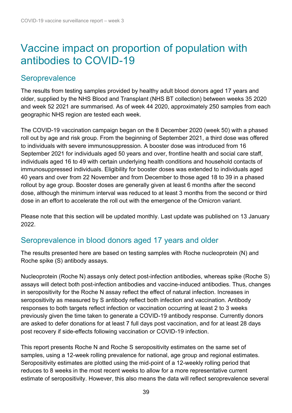## <span id="page-38-0"></span>Vaccine impact on proportion of population with antibodies to COVID-19

#### **Seroprevalence**

The results from testing samples provided by healthy adult blood donors aged 17 years and older, supplied by the NHS Blood and Transplant (NHS BT collection) between weeks 35 2020 and week 52 2021 are summarised. As of week 44 2020, approximately 250 samples from each geographic NHS region are tested each week.

The COVID-19 vaccination campaign began on the 8 December 2020 (week 50) with a phased roll out by age and risk group. From the beginning of September 2021, a third dose was offered to individuals with severe immunosuppression. A booster dose was introduced from 16 September 2021 for individuals aged 50 years and over, frontline health and social care staff, individuals aged 16 to 49 with certain underlying health conditions and household contacts of immunosuppressed individuals. Eligibility for booster doses was extended to individuals aged 40 years and over from 22 November and from December to those aged 18 to 39 in a phased rollout by age group. Booster doses are generally given at least 6 months after the second dose, although the minimum interval was reduced to at least 3 months from the second or third dose in an effort to accelerate the roll out with the emergence of the Omicron variant.

Please note that this section will be updated monthly. Last update was published on 13 January 2022.

#### Seroprevalence in blood donors aged 17 years and older

The results presented here are based on testing samples with Roche nucleoprotein (N) and Roche spike (S) antibody assays.

Nucleoprotein (Roche N) assays only detect post-infection antibodies, whereas spike (Roche S) assays will detect both post-infection antibodies and vaccine-induced antibodies. Thus, changes in seropositivity for the Roche N assay reflect the effect of natural infection. Increases in seropositivity as measured by S antibody reflect both infection and vaccination. Antibody responses to both targets reflect infection or vaccination occurring at least 2 to 3 weeks previously given the time taken to generate a COVID-19 antibody response. Currently donors are asked to defer donations for at least 7 full days post vaccination, and for at least 28 days post recovery if side-effects following vaccination or COVID-19 infection.

This report presents Roche N and Roche S seropositivity estimates on the same set of samples, using a 12-week rolling prevalence for national, age group and regional estimates. Seropositivity estimates are plotted using the mid-point of a 12-weekly rolling period that reduces to 8 weeks in the most recent weeks to allow for a more representative current estimate of seropositivity. However, this also means the data will reflect seroprevalence several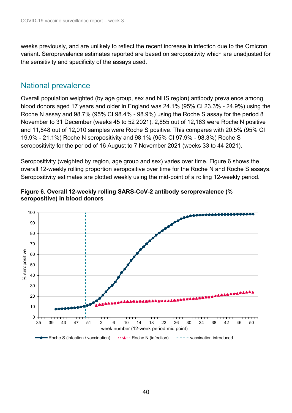weeks previously, and are unlikely to reflect the recent increase in infection due to the Omicron variant. Seroprevalence estimates reported are based on seropositivity which are unadjusted for the sensitivity and specificity of the assays used.

#### National prevalence

Overall population weighted (by age group, sex and NHS region) antibody prevalence among blood donors aged 17 years and older in England was 24.1% (95% CI 23.3% - 24.9%) using the Roche N assay and 98.7% (95% CI 98.4% - 98.9%) using the Roche S assay for the period 8 November to 31 December (weeks 45 to 52 2021). 2,855 out of 12,163 were Roche N positive and 11,848 out of 12,010 samples were Roche S positive. This compares with 20.5% (95% CI 19.9% - 21.1%) Roche N seropositivity and 98.1% (95% CI 97.9% - 98.3%) Roche S seropositivity for the period of 16 August to 7 November 2021 (weeks 33 to 44 2021).

Seropositivity (weighted by region, age group and sex) varies over time. Figure 6 shows the overall 12-weekly rolling proportion seropositive over time for the Roche N and Roche S assays. Seropositivity estimates are plotted weekly using the mid-point of a rolling 12-weekly period.



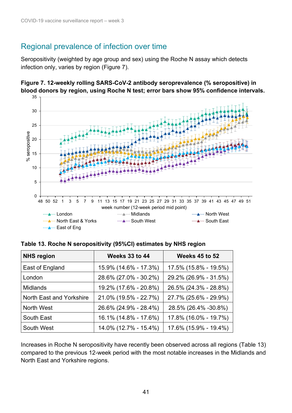#### Regional prevalence of infection over time

Seropositivity (weighted by age group and sex) using the Roche N assay which detects infection only, varies by region (Figure 7).



**Figure 7. 12-weekly rolling SARS-CoV-2 antibody seroprevalence (% seropositive) in blood donors by region, using Roche N test; error bars show 95% confidence intervals.** 

| <b>NHS region</b>        | <b>Weeks 33 to 44</b> | <b>Weeks 45 to 52</b> |
|--------------------------|-----------------------|-----------------------|
| East of England          | 15.9% (14.6% - 17.3%) | 17.5% (15.8% - 19.5%) |
| London                   | 28.6% (27.0% - 30.2%) | 29.2% (26.9% - 31.5%) |
| <b>Midlands</b>          | 19.2% (17.6% - 20.8%) | 26.5% (24.3% - 28.8%) |
| North East and Yorkshire | 21.0% (19.5% - 22.7%) | 27.7% (25.6% - 29.9%) |
| North West               | 26.6% (24.9% - 28.4%) | 28.5% (26.4% -30.8%)  |
| South East               | 16.1% (14.8% - 17.6%) | 17.8% (16.0% - 19.7%) |
| South West               | 14.0% (12.7% - 15.4%) | 17.6% (15.9% - 19.4%) |

Increases in Roche N seropositivity have recently been observed across all regions (Table 13) compared to the previous 12-week period with the most notable increases in the Midlands and North East and Yorkshire regions.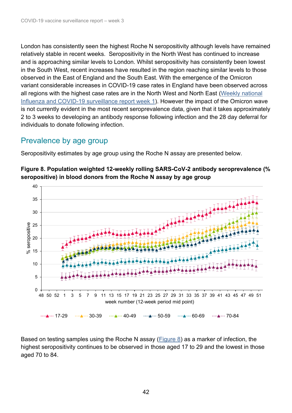London has consistently seen the highest Roche N seropositivity although levels have remained relatively stable in recent weeks. Seropositivity in the North West has continued to increase and is approaching similar levels to London. Whilst seropositivity has consistently been lowest in the South West, recent increases have resulted in the region reaching similar levels to those observed in the East of England and the South East. With the emergence of the Omicron variant considerable increases in COVID-19 case rates in England have been observed across all regions with the highest case rates are in the North West and North East [\(Weekly national](https://www.gov.uk/government/statistics/national-flu-and-covid-19-surveillance-reports-2021-to-2022-season)  [Influenza and COVID-19 surveillance report week 1](https://www.gov.uk/government/statistics/national-flu-and-covid-19-surveillance-reports-2021-to-2022-season)). However the impact of the Omicron wave is not currently evident in the most recent seroprevalence data, given that it takes approximately 2 to 3 weeks to developing an antibody response following infection and the 28 day deferral for individuals to donate following infection.

### Prevalence by age group

Seropositivity estimates by age group using the Roche N assay are presented below.



<span id="page-41-0"></span>**Figure 8. Population weighted 12-weekly rolling SARS-CoV-2 antibody seroprevalence (% seropositive) in blood donors from the Roche N assay by age group**

Based on testing samples using the Roche N assay [\(Figure 8\)](#page-41-0) as a marker of infection, the highest seropositivity continues to be observed in those aged 17 to 29 and the lowest in those aged 70 to 84.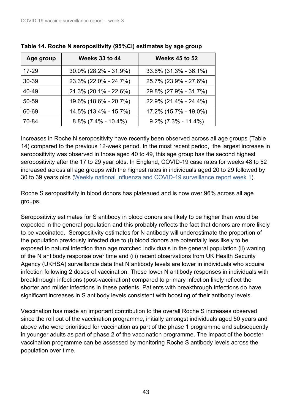| Age group | <b>Weeks 33 to 44</b>  | <b>Weeks 45 to 52</b>  |
|-----------|------------------------|------------------------|
| $17 - 29$ | 30.0% (28.2% - 31.9%)  | 33.6% (31.3% - 36.1%)  |
| 30-39     | 23.3% (22.0% - 24.7%)  | 25.7% (23.9% - 27.6%)  |
| 40-49     | 21.3% (20.1% - 22.6%)  | 29.8% (27.9% - 31.7%)  |
| 50-59     | 19.6% (18.6% - 20.7%)  | 22.9% (21.4% - 24.4%)  |
| 60-69     | 14.5% (13.4% - 15.7%)  | 17.2% (15.7% - 19.0%)  |
| 70-84     | $8.8\%$ (7.4% - 10.4%) | $9.2\%$ (7.3% - 11.4%) |

**Table 14. Roche N seropositivity (95%CI) estimates by age group** 

Increases in Roche N seropositivity have recently been observed across all age groups (Table 14) compared to the previous 12-week period. In the most recent period, the largest increase in seropositivity was observed in those aged 40 to 49, this age group has the second highest seropositivity after the 17 to 29 year olds. In England, COVID-19 case rates for weeks 48 to 52 increased across all age groups with the highest rates in individuals aged 20 to 29 followed by 30 to 39 years olds ([Weekly national Influenza and COVID-19 surveillance report week 1](https://www.gov.uk/government/statistics/national-flu-and-covid-19-surveillance-reports-2021-to-2022-season)).

Roche S seropositivity in blood donors has plateaued and is now over 96% across all age groups.

Seropositivity estimates for S antibody in blood donors are likely to be higher than would be expected in the general population and this probably reflects the fact that donors are more likely to be vaccinated. Seropositivity estimates for N antibody will underestimate the proportion of the population previously infected due to (i) blood donors are potentially less likely to be exposed to natural infection than age matched individuals in the general population (ii) waning of the N antibody response over time and (iii) recent observations from UK Health Security Agency (UKHSA) surveillance data that N antibody levels are lower in individuals who acquire infection following 2 doses of vaccination. These lower N antibody responses in individuals with breakthrough infections (post-vaccination) compared to primary infection likely reflect the shorter and milder infections in these patients. Patients with breakthrough infections do have significant increases in S antibody levels consistent with boosting of their antibody levels.

Vaccination has made an important contribution to the overall Roche S increases observed since the roll out of the vaccination programme, initially amongst individuals aged 50 years and above who were prioritised for vaccination as part of the phase 1 programme and subsequently in younger adults as part of phase 2 of the vaccination programme. The impact of the booster vaccination programme can be assessed by monitoring Roche S antibody levels across the population over time.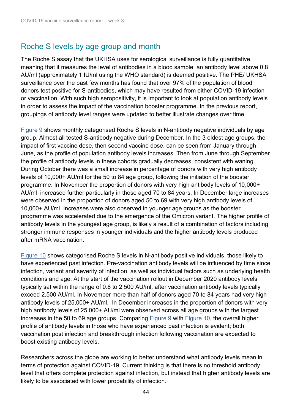### Roche S levels by age group and month

The Roche S assay that the UKHSA uses for serological surveillance is fully quantitative, meaning that it measures the level of antibodies in a blood sample; an antibody level above 0.8 AU/ml (approximately 1 IU/ml using the WHO standard) is deemed positive. The PHE/ UKHSA surveillance over the past few months has found that over 97% of the population of blood donors test positive for S-antibodies, which may have resulted from either COVID-19 infection or vaccination. With such high seropositivity, it is important to look at population antibody levels in order to assess the impact of the vaccination booster programme. In the previous report, groupings of antibody level ranges were updated to better illustrate changes over time.

[Figure 9](#page-43-0) shows monthly categorised Roche S levels in N-antibody negative individuals by age group. Almost all tested S-antibody negative during December. In the 3 oldest age groups, the impact of first vaccine dose, then second vaccine dose, can be seen from January through June, as the profile of population antibody levels increases. Then from June through September the profile of antibody levels in these cohorts gradually decreases, consistent with waning. During October there was a small increase in percentage of donors with very high antibody levels of 10,000+ AU/ml for the 50 to 84 age group, following the initiation of the booster programme. In November the proportion of donors with very high antibody levels of 10,000+ AU/ml increased further particularly in those aged 70 to 84 years. In December large increases were observed in the proportion of donors aged 50 to 69 with very high antibody levels of 10,000+ AU/ml. Increases were also observed in younger age groups as the booster programme was accelerated due to the emergence of the Omicron variant. The higher profile of antibody levels in the youngest age group, is likely a result of a combination of factors including stronger immune responses in younger individuals and the higher antibody levels produced after mRNA vaccination.

Figure 10 shows categorised Roche S levels in N-antibody positive individuals, those likely to have experienced past infection. Pre-vaccination antibody levels will be influenced by time since infection, variant and severity of infection, as well as individual factors such as underlying health conditions and age. At the start of the vaccination rollout in December 2020 antibody levels typically sat within the range of 0.8 to 2,500 AU/ml, after vaccination antibody levels typically exceed 2,500 AU/ml. In November more than half of donors aged 70 to 84 years had very high antibody levels of 25,000+ AU/ml. In December increases in the proportion of donors with very high antibody levels of 25,000+ AU/ml were observed across all age groups with the largest increases in the 50 to 69 age groups. Comparing [Figure 9](#page-43-0) with Figure 10, the overall higher profile of antibody levels in those who have experienced past infection is evident; both vaccination post infection and breakthrough infection following vaccination are expected to boost existing antibody levels.

<span id="page-43-0"></span>Researchers across the globe are working to better understand what antibody levels mean in terms of protection against COVID-19. Current thinking is that there is no threshold antibody level that offers complete protection against infection, but instead that higher antibody levels are likely to be associated with lower probability of infection.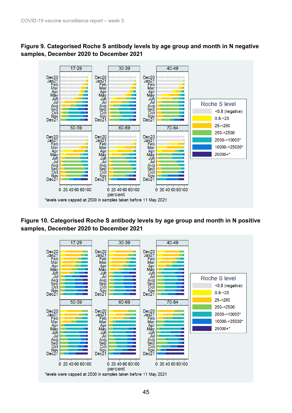



**Figure 10. Categorised Roche S antibody levels by age group and month in N positive samples, December 2020 to December 2021**

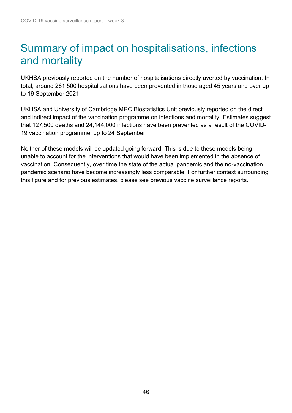## <span id="page-45-0"></span>Summary of impact on hospitalisations, infections and mortality

UKHSA previously reported on the number of hospitalisations directly averted by vaccination. In total, around 261,500 hospitalisations have been prevented in those aged 45 years and over up to 19 September 2021.

UKHSA and University of Cambridge MRC Biostatistics Unit previously reported on the direct and indirect impact of the vaccination programme on infections and mortality. Estimates suggest that 127,500 deaths and 24,144,000 infections have been prevented as a result of the COVID-19 vaccination programme, up to 24 September.

Neither of these models will be updated going forward. This is due to these models being unable to account for the interventions that would have been implemented in the absence of vaccination. Consequently, over time the state of the actual pandemic and the no-vaccination pandemic scenario have become increasingly less comparable. For further context surrounding this figure and for previous estimates, please see previous vaccine surveillance reports.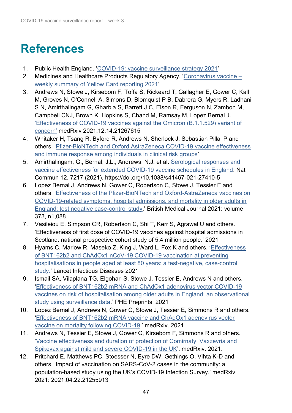# <span id="page-46-0"></span>**References**

- <span id="page-46-1"></span>1. Public Health England. ['COVID-19: vaccine surveillance strategy 2021'](https://www.gov.uk/government/publications/covid-19-vaccine-surveillance-strategy)
- <span id="page-46-2"></span>2. Medicines and Healthcare Products Regulatory Agency. ['Coronavirus vaccine –](https://www.gov.uk/government/publications/coronavirus-covid-19-vaccine-adverse-reactions/coronavirus-vaccine-summary-of-yellow-card-reporting) [weekly summary of Yellow Card reporting 2021'](https://www.gov.uk/government/publications/coronavirus-covid-19-vaccine-adverse-reactions/coronavirus-vaccine-summary-of-yellow-card-reporting)
- 3. Andrews N, Stowe J, Kirsebom F, Toffa S, Rickeard T, Gallagher E, Gower C, Kall M, Groves N, O'Connell A, Simons D, Blomquist P B, Dabrera G, Myers R, Ladhani S N, Amirthalingam G, Gharbia S, Barrett J C, Elson R, Ferguson N, Zambon M, Campbell CNJ, Brown K, Hopkins S, Chand M, Ramsay M, Lopez Bernal J. ['Effectiveness of COVID-19 vaccines against the Omicron \(B.1.1.529\) variant of](file://///COLHPAFIL003/ProjectData/Proj_Resp/Flu/Flu%20COVID%20Surveillance/Vaccine%20surveillance%20report/1.%09https:/www.medrxiv.org/content/10.1101/2021.12.14.21267615v1.article-info)  [concern'](file://///COLHPAFIL003/ProjectData/Proj_Resp/Flu/Flu%20COVID%20Surveillance/Vaccine%20surveillance%20report/1.%09https:/www.medrxiv.org/content/10.1101/2021.12.14.21267615v1.article-info) medRxiv 2021.12.14.21267615
- 4. Whitaker H, Tsang R, Byford R, Andrews N, Sherlock J, Sebastian Pillai P and others. ['Pfizer-BioNTech and Oxford AstraZeneca COVID-19 vaccine effectiveness](https://www.sciencedirect.com/science/article/pii/S0163445321006642?v=s5)  [and immune response among individuals in clinical risk groups'](https://www.sciencedirect.com/science/article/pii/S0163445321006642?v=s5)
- 5. Amirthalingam, G., Bernal, J.L., Andrews, N.J. et al. [Serological responses and](https://www.nature.com/articles/s41467-021-27410-5)  [vaccine effectiveness for extended COVID-19 vaccine schedules in England.](https://www.nature.com/articles/s41467-021-27410-5) Nat Commun 12, 7217 (2021). https://doi.org/10.1038/s41467-021-27410-5
- 6. Lopez Bernal J, Andrews N, Gower C, Robertson C, Stowe J, Tessier E and others. ['Effectiveness of the Pfizer-BioNTech and Oxford-AstraZeneca vaccines on](https://www.bmj.com/content/373/bmj.n1088)  [COVID-19-related symptoms, hospital admissions, and mortality in older adults in](https://www.bmj.com/content/373/bmj.n1088)  [England: test negative case-control study.](https://www.bmj.com/content/373/bmj.n1088)' British Medical Journal 2021: volume 373, n1,088
- 7. Vasileiou E, Simpson CR, Robertson C, Shi T, Kerr S, Agrawal U and others. 'Effectiveness of first dose of COVID-19 vaccines against hospital admissions in Scotland: national prospective cohort study of 5.4 million people.' 2021
- 8. Hyams C, Marlow R, Maseko Z, King J, Ward L, Fox K and others. ['Effectiveness](file:///C:/Users/Simon.Port/Documents/GOV-9196%20Covid%20surveillance%20report%20-%20week%2030/1.%09https:/www.thelancet.com/pdfs/journals/laninf/PIIS1473-3099(21)00330-3.pdf)  [of BNT162b2 and ChAdOx1 nCoV-19 COVID-19 vaccination at preventing](file:///C:/Users/Simon.Port/Documents/GOV-9196%20Covid%20surveillance%20report%20-%20week%2030/1.%09https:/www.thelancet.com/pdfs/journals/laninf/PIIS1473-3099(21)00330-3.pdf)  [hospitalisations in people aged at least 80 years: a test-negative, case-control](file:///C:/Users/Simon.Port/Documents/GOV-9196%20Covid%20surveillance%20report%20-%20week%2030/1.%09https:/www.thelancet.com/pdfs/journals/laninf/PIIS1473-3099(21)00330-3.pdf)  [study.'](file:///C:/Users/Simon.Port/Documents/GOV-9196%20Covid%20surveillance%20report%20-%20week%2030/1.%09https:/www.thelancet.com/pdfs/journals/laninf/PIIS1473-3099(21)00330-3.pdf) Lancet Infectious Diseases 2021
- 9. Ismail SA, Vilaplana TG, Elgohari S, Stowe J, Tessier E, Andrews N and others. ['Effectiveness of BNT162b2 mRNA and ChAdOx1 adenovirus vector COVID-19](https://khub.net/documents/135939561/430986542/Effectiveness+of+BNT162b2+mRNA+and+ChAdOx1+adenovirus+vector+COVID-19+vaccines+on+risk+of+hospitalisation+among+older+adults+in+England.pdf/9e18c525-dde6-5ee4-1537-91427798686b)  [vaccines on risk of hospitalisation among older adults in England: an observational](https://khub.net/documents/135939561/430986542/Effectiveness+of+BNT162b2+mRNA+and+ChAdOx1+adenovirus+vector+COVID-19+vaccines+on+risk+of+hospitalisation+among+older+adults+in+England.pdf/9e18c525-dde6-5ee4-1537-91427798686b)  [study using surveillance data.](https://khub.net/documents/135939561/430986542/Effectiveness+of+BNT162b2+mRNA+and+ChAdOx1+adenovirus+vector+COVID-19+vaccines+on+risk+of+hospitalisation+among+older+adults+in+England.pdf/9e18c525-dde6-5ee4-1537-91427798686b)' PHE Preprints. 2021
- 10. Lopez Bernal J, Andrews N, Gower C, Stowe J, Tessier E, Simmons R and others. ['Effectiveness of BNT162b2 mRNA vaccine and ChAdOx1 adenovirus vector](https://www.medrxiv.org/content/10.1101/2021.05.14.21257218v1)  [vaccine on mortality following COVID-19.](https://www.medrxiv.org/content/10.1101/2021.05.14.21257218v1)' medRxiv. 2021
- 11. Andrews N, Tessier E, Stowe J, Gower C, Kirsebom F, Simmons R and others. ['Vaccine effectiveness and duration of protection of Comirnaty, Vaxzevria and](https://www.medrxiv.org/content/10.1101/2021.09.15.21263583v2)  [Spikevax against mild and severe COVID-19 in the UK'](https://www.medrxiv.org/content/10.1101/2021.09.15.21263583v2). medRxiv. 2021.
- 12. Pritchard E, Matthews PC, Stoesser N, Eyre DW, Gethings O, Vihta K-D and others. 'Impact of vaccination on SARS-CoV-2 cases in the community: a population-based study using the UK's COVID-19 Infection Survey.' medRxiv 2021: 2021.04.22.21255913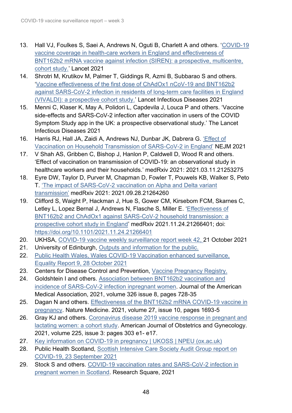- 13. Hall VJ, Foulkes S, Saei A, Andrews N, Oguti B, Charlett A and others. 'COVID-19 [vaccine coverage in health-care workers in England and effectiveness of](https://www.thelancet.com/journals/lancet/article/PIIS0140-6736(21)00790-X/fulltext)  [BNT162b2 mRNA vaccine against infection \(SIREN\): a prospective, multicentre,](https://www.thelancet.com/journals/lancet/article/PIIS0140-6736(21)00790-X/fulltext)  [cohort study.](https://www.thelancet.com/journals/lancet/article/PIIS0140-6736(21)00790-X/fulltext)' Lancet 2021
- 14. Shrotri M, Krutikov M, Palmer T, Giddings R, Azmi B, Subbarao S and others. ['Vaccine effectiveness of the first dose of ChAdOx1 nCoV-19 and BNT162b2](https://www.thelancet.com/action/showPdf?pii=S1473-3099%2821%2900289-9)  [against SARS-CoV-2 infection in residents of long-term care facilities in England](https://www.thelancet.com/action/showPdf?pii=S1473-3099%2821%2900289-9)  [\(VIVALDI\): a prospective cohort study.](https://www.thelancet.com/action/showPdf?pii=S1473-3099%2821%2900289-9)' Lancet Infectious Diseases 2021
- 15. Menni C, Klaser K, May A, Polidori L, Capdevila J, Louca P and others. 'Vaccine side-effects and SARS-CoV-2 infection after vaccination in users of the COVID Symptom Study app in the UK: a prospective observational study.' The Lancet Infectious Diseases 2021
- 16. Harris RJ, Hall JA, Zaidi A, Andrews NJ, Dunbar JK, Dabrera G. ['Effect of](https://www.nejm.org/doi/pdf/10.1056/NEJMc2107717?articleTools=true)  [Vaccination on Household Transmission of SARS-CoV-2 in England'](https://www.nejm.org/doi/pdf/10.1056/NEJMc2107717?articleTools=true) NEJM 2021
- 17. V Shah AS, Gribben C, Bishop J, Hanlon P, Caldwell D, Wood R and others. 'Effect of vaccination on transmission of COVID-19: an observational study in healthcare workers and their households.' medRxiv 2021: 2021.03.11.21253275
- 18. Eyre DW, Taylor D, Purver M, Chapman D, Fowler T, Pouwels KB, Walker S, Peto T. ['The impact of SARS-CoV-2 vaccination on Alpha and](https://www.medrxiv.org/content/10.1101/2021.09.28.21264260v1) Delta variant [transmission'](https://www.medrxiv.org/content/10.1101/2021.09.28.21264260v1) medRxiv 2021: 2021.09.28.21264260
- 19. Clifford S, Waight P, Hackman J, Hue S, Gower CM, Kirsebom FCM, Skarnes C, Letley L, Lopez Bernal J, Andrews N, Flasche S, Miller E. ['Effectiveness of](https://www.medrxiv.org/content/10.1101/2021.11.24.21266401v2)  [BNT162b2 and ChAdOx1 against SARS-CoV-2 household transmission: a](https://www.medrxiv.org/content/10.1101/2021.11.24.21266401v2)  [prospective cohort study in England'](https://www.medrxiv.org/content/10.1101/2021.11.24.21266401v2) medRxiv 2021.11.24.21266401; doi: <https://doi.org/10.1101/2021.11.24.21266401>
- 20. UKHSA, [COVID-19 vaccine weekly surveillance report week 42,](https://www.gov.uk/government/publications/covid-19-vaccine-weekly-surveillance-reports) 21 October 2021
- 21. University of Edinburgh, [Outputs and information for the public.](https://www.ed.ac.uk/usher/eave-ii/covid-19-in-pregnancy-in-scotland/outputs)
- 22. Public Health Wales, Wales COVID-19 Vaccination enhanced surveillance, Equality Report 9, 28 October 2021
- 23. Centers for Disease Control and Prevention, Vaccine Pregnancy Registry.
- 24. Goldshtein I and others. [Association between BNT162b2 vaccination and](https://pubmed.ncbi.nlm.nih.gov/34251417/)  [incidence of SARS-CoV-2 infection inpregnant women.](https://pubmed.ncbi.nlm.nih.gov/34251417/) Journal of the American Medical Association, 2021, volume 326 issue 8, pages 728-35
- 25. Dagan N and others. [Effectiveness of the BNT162b2 mRNA COVID-19 vaccine in](https://pubmed.ncbi.nlm.nih.gov/34493859/)  [pregnancy.](https://pubmed.ncbi.nlm.nih.gov/34493859/) Nature Medicine. 2021, volume 27, issue 10, pages 1693-5
- 26. Gray KJ and others. [Coronavirus disease 2019 vaccine response in pregnant and](https://pubmed.ncbi.nlm.nih.gov/33775692/)  [lactating women: a cohort study.](https://pubmed.ncbi.nlm.nih.gov/33775692/) American Journal of Obstetrics and Gynecology. 2021, volume 225, issue 3: pages 303 e1- e17.
- 27. [Key information on COVID-19 in pregnancy | UKOSS | NPEU \(ox.ac.uk\)](https://www.npeu.ox.ac.uk/ukoss/news/2172-covid-19-in-pregnancy)
- 28. Public Health Scotland, Scottish Intensive Care Society Audit Group report on [COVID-19, 23 September 2021](https://publichealthscotland.scot/publications/scottish-intensive-care-society-audit-group-report-on-covid-19/scottish-intensive-care-society-audit-group-report-on-covid-19-as-at-23-september-2021/)
- 29. Stock S and others. [COVID-19 vaccination rates and SARS-CoV-2 infection in](https://www.researchsquare.com/article/rs-1051010/v1)  [pregnant women in Scotland.](https://www.researchsquare.com/article/rs-1051010/v1) Research Square, 2021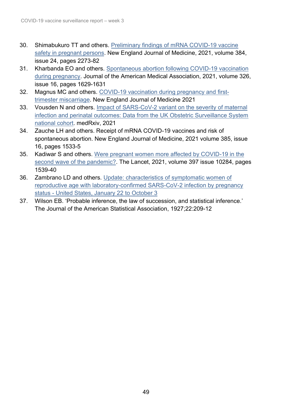- 30. Shimabukuro TT and others. [Preliminary findings of mRNA COVID-19 vaccine](https://pubmed.ncbi.nlm.nih.gov/33882218/)  [safety in pregnant](https://pubmed.ncbi.nlm.nih.gov/33882218/) persons. New England Journal of Medicine, 2021, volume 384, issue 24, pages 2273-82
- 31. Kharbanda EO and others. [Spontaneous abortion following COVID-19 vaccination](https://pubmed.ncbi.nlm.nih.gov/34495304/)  [during pregnancy.](https://pubmed.ncbi.nlm.nih.gov/34495304/) Journal of the American Medical Association, 2021, volume 326, issue 16, pages 1629-1631
- 32. Magnus MC and others. [COVID-19 vaccination during pregnancy and first](https://pubmed.ncbi.nlm.nih.gov/34670062/)[trimester miscarriage.](https://pubmed.ncbi.nlm.nih.gov/34670062/) New England Journal of Medicine 2021
- 33. Vousden N and others. [Impact of SARS-CoV-2 variant on the severity of maternal](https://www.medrxiv.org/content/10.1101/2021.07.22.21261000v1)  [infection and perinatal outcomes: Data from the UK Obstetric Surveillance System](https://www.medrxiv.org/content/10.1101/2021.07.22.21261000v1)  [national cohort.](https://www.medrxiv.org/content/10.1101/2021.07.22.21261000v1) medRxiv, 2021
- 34. Zauche LH and others. Receipt of mRNA COVID-19 vaccines and risk of spontaneous abortion. New England Journal of Medicine, 2021 volume 385, issue 16, pages 1533-5
- 35. Kadiwar S and others. [Were pregnant women more affected by COVID-19 in the](https://pubmed.ncbi.nlm.nih.gov/33864751/)  [second wave of the pandemic?.](https://pubmed.ncbi.nlm.nih.gov/33864751/) The Lancet, 2021, volume 397 issue 10284, pages 1539-40
- 36. Zambrano LD and others. [Update: characteristics of symptomatic women of](https://pubmed.ncbi.nlm.nih.gov/33151921/)  [reproductive age with laboratory-confirmed SARS-CoV-2 infection by pregnancy](https://pubmed.ncbi.nlm.nih.gov/33151921/)  status - [United States, January 22](https://pubmed.ncbi.nlm.nih.gov/33151921/) to October 3
- 37. Wilson EB. 'Probable inference, the law of succession, and statistical inference.' The Journal of the American Statistical Association, 1927;22:209-12